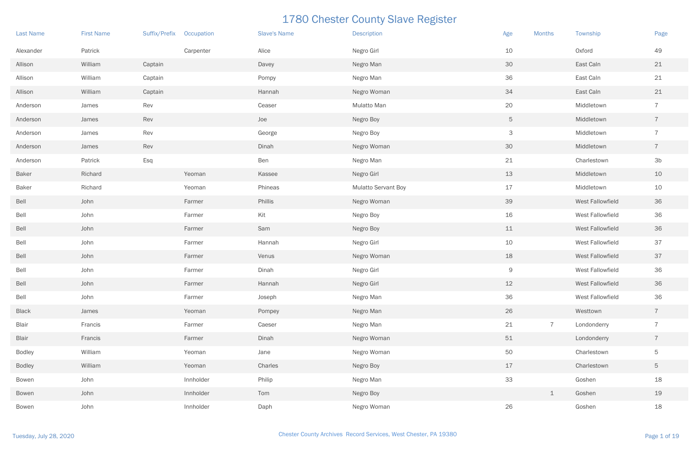| <b>Last Name</b> | <b>First Name</b> | <b>Suffix/Prefix</b> | Occupation | <b>Slave's Name</b> | <b>Description</b>         | Age            | <b>Months</b>  | Township         | Page           |
|------------------|-------------------|----------------------|------------|---------------------|----------------------------|----------------|----------------|------------------|----------------|
| Alexander        | Patrick           |                      | Carpenter  | Alice               | Negro Girl                 | 10             |                | Oxford           | 49             |
| Allison          | William           | Captain              |            | Davey               | Negro Man                  | 30             |                | East Caln        | 21             |
| Allison          | William           | Captain              |            | Pompy               | Negro Man                  | 36             |                | East Caln        | 21             |
| Allison          | William           | Captain              |            | Hannah              | Negro Woman                | 34             |                | East Caln        | 21             |
| Anderson         | James             | Rev                  |            | Ceaser              | Mulatto Man                | 20             |                | Middletown       | $\overline{7}$ |
| Anderson         | James             | Rev                  |            | Joe                 | Negro Boy                  | 5 <sup>5</sup> |                | Middletown       | $\overline{7}$ |
| Anderson         | James             | Rev                  |            | George              | Negro Boy                  | 3              |                | Middletown       | $\overline{7}$ |
| Anderson         | James             | Rev                  |            | Dinah               | Negro Woman                | 30             |                | Middletown       | $\overline{7}$ |
| Anderson         | Patrick           | Esq                  |            | Ben                 | Negro Man                  | 21             |                | Charlestown      | 3 <sub>b</sub> |
| <b>Baker</b>     | Richard           |                      | Yeoman     | Kassee              | Negro Girl                 | 13             |                | Middletown       | 10             |
| <b>Baker</b>     | Richard           |                      | Yeoman     | Phineas             | <b>Mulatto Servant Boy</b> | 17             |                | Middletown       | 10             |
| Bell             | John              |                      | Farmer     | Phillis             | Negro Woman                | 39             |                | West Fallowfield | 36             |
| Bell             | John              |                      | Farmer     | Kit                 | Negro Boy                  | 16             |                | West Fallowfield | 36             |
| Bell             | John              |                      | Farmer     | Sam                 | Negro Boy                  | 11             |                | West Fallowfield | 36             |
| Bell             | John              |                      | Farmer     | Hannah              | Negro Girl                 | 10             |                | West Fallowfield | 37             |
| Bell             | John              |                      | Farmer     | Venus               | Negro Woman                | 18             |                | West Fallowfield | 37             |
| Bell             | John              |                      | Farmer     | Dinah               | Negro Girl                 | 9              |                | West Fallowfield | 36             |
| Bell             | John              |                      | Farmer     | Hannah              | Negro Girl                 | 12             |                | West Fallowfield | 36             |
| Bell             | John              |                      | Farmer     | Joseph              | Negro Man                  | 36             |                | West Fallowfield | 36             |
| <b>Black</b>     | James             |                      | Yeoman     | Pompey              | Negro Man                  | 26             |                | Westtown         | $\overline{7}$ |
| <b>Blair</b>     | Francis           |                      | Farmer     | Caeser              | Negro Man                  | 21             | $\overline{7}$ | Londonderry      | $\overline{7}$ |
| <b>Blair</b>     | Francis           |                      | Farmer     | Dinah               | Negro Woman                | 51             |                | Londonderry      | $\overline{7}$ |
| <b>Bodley</b>    | William           |                      | Yeoman     | Jane                | Negro Woman                | 50             |                | Charlestown      | $\mathbf 5$    |
| <b>Bodley</b>    | William           |                      | Yeoman     | Charles             | Negro Boy                  | 17             |                | Charlestown      | $\mathbf 5$    |
| Bowen            | John              |                      | Innholder  | Philip              | Negro Man                  | 33             |                | Goshen           | 18             |
| <b>Bowen</b>     | John              |                      | Innholder  | Tom                 | Negro Boy                  |                | $\perp$        | Goshen           | 19             |
| Bowen            | John              |                      | Innholder  | Daph                | Negro Woman                | 26             |                | Goshen           | 18             |

| <b>Months</b>  | Township                | Page           |
|----------------|-------------------------|----------------|
|                | Oxford                  | 49             |
|                | East Caln               | 21             |
|                | East Caln               | 21             |
|                | East Caln               | 21             |
|                | Middletown              | 7              |
|                | Middletown              | $\overline{7}$ |
|                | Middletown              | 7              |
|                | Middletown              | $\overline{7}$ |
|                | Charlestown             | 3b             |
|                | Middletown              | 10             |
|                | Middletown              | 10             |
|                | West Fallowfield        | 36             |
|                | <b>West Fallowfield</b> | 36             |
|                | West Fallowfield        | 36             |
|                | <b>West Fallowfield</b> | 37             |
|                | West Fallowfield        | 37             |
|                | <b>West Fallowfield</b> | 36             |
|                | West Fallowfield        | 36             |
|                | West Fallowfield        | 36             |
|                | Westtown                | $\overline{7}$ |
| $\overline{7}$ | Londonderry             | $\overline{7}$ |
|                | Londonderry             | $\overline{7}$ |
|                | Charlestown             | 5              |
|                | Charlestown             | 5              |
|                | Goshen                  | 18             |
| $\mathbf 1$    | Goshen                  | 19             |
|                | Goshen                  | 18             |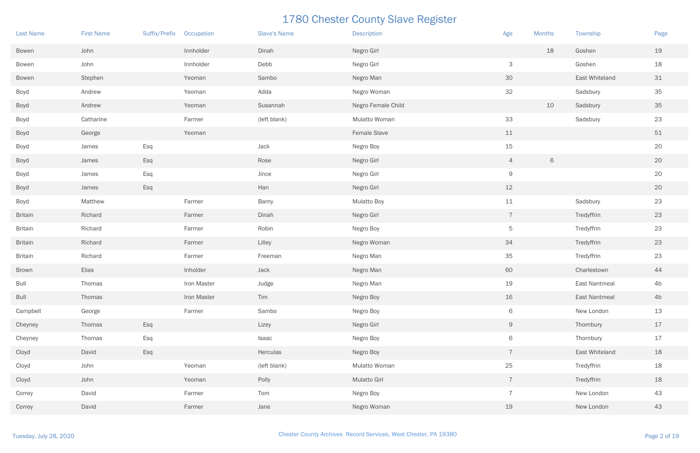| <b>Last Name</b> | <b>First Name</b> | Suffix/Prefix | Occupation  | <b>Slave's Name</b> | <b>Description</b> | Age             | <b>Months</b> | Township             | Page           |
|------------------|-------------------|---------------|-------------|---------------------|--------------------|-----------------|---------------|----------------------|----------------|
| Bowen            | John              |               | Innholder   | Dinah               | Negro Girl         |                 | 18            | Goshen               | 19             |
| Bowen            | John              |               | Innholder   | Debb                | Negro Girl         | 3               |               | Goshen               | 18             |
| Bowen            | Stephen           |               | Yeoman      | Sambo               | Negro Man          | 30              |               | East Whiteland       | 31             |
| Boyd             | Andrew            |               | Yeoman      | Adda                | Negro Woman        | 32              |               | Sadsbury             | 35             |
| Boyd             | Andrew            |               | Yeoman      | Susannah            | Negro Female Child |                 | 10            | Sadsbury             | 35             |
| Boyd             | Catharine         |               | Farmer      | (left blank)        | Mulatto Woman      | 33              |               | Sadsbury             | 23             |
| <b>Boyd</b>      | George            |               | Yeoman      |                     | Female Slave       | 11              |               |                      | $51\,$         |
| Boyd             | James             | Esq           |             | Jack                | Negro Boy          | 15              |               |                      | 20             |
| Boyd             | James             | Esq           |             | Rose                | Negro Girl         | $\overline{4}$  | $\,$ 6 $\,$   |                      | 20             |
| Boyd             | James             | Esq           |             | Jince               | Negro Girl         | 9               |               |                      | 20             |
| <b>Boyd</b>      | James             | Esq           |             | Han                 | Negro Girl         | 12              |               |                      | 20             |
| Boyd             | Matthew           |               | Farmer      | Barny               | <b>Mulatto Boy</b> | 11              |               | Sadsbury             | 23             |
| <b>Britain</b>   | Richard           |               | Farmer      | Dinah               | Negro Girl         | $\overline{7}$  |               | Tredyffrin           | 23             |
| <b>Britain</b>   | Richard           |               | Farmer      | Robin               | Negro Boy          | 5               |               | Tredyffrin           | 23             |
| <b>Britain</b>   | Richard           |               | Farmer      | Lilley              | Negro Woman        | 34              |               | Tredyffrin           | 23             |
| <b>Britain</b>   | Richard           |               | Farmer      | Freeman             | Negro Man          | 35              |               | Tredyffrin           | 23             |
| <b>Brown</b>     | Elias             |               | Inholder    | Jack                | Negro Man          | 60              |               | Charlestown          | 44             |
| <b>Bull</b>      | Thomas            |               | Iron Master | Judge               | Negro Man          | 19              |               | East Nantmeal        | 4b             |
| <b>Bull</b>      | Thomas            |               | Iron Master | Tim                 | Negro Boy          | 16              |               | <b>East Nantmeal</b> | 4 <sub>b</sub> |
| Campbell         | George            |               | Farmer      | Sambo               | Negro Boy          | 6               |               | New London           | 13             |
| Cheyney          | Thomas            | Esq           |             | Lizey               | Negro Girl         | 9               |               | Thornbury            | 17             |
| Cheyney          | Thomas            | Esq           |             | Isaac               | Negro Boy          | 6               |               | Thornbury            | 17             |
| Cloyd            | David             | Esq           |             | Herculas            | Negro Boy          | $\overline{7}$  |               | East Whiteland       | 18             |
| Cloyd            | John              |               | Yeoman      | (left blank)        | Mulatto Woman      | 25              |               | Tredyffrin           | 18             |
| Cloyd            | John              |               | Yeoman      | Polly               | Mulatto Girl       | $7\overline{ }$ |               | Tredyffrin           | 18             |
| Correy           | David             |               | Farmer      | Tom                 | Negro Boy          | $\overline{7}$  |               | New London           | 43             |
| Correy           | David             |               | Farmer      | Jane                | Negro Woman        | 19              |               | New London           | 43             |

| <b>Months</b> | Township             | Page |
|---------------|----------------------|------|
| 18            | Goshen               | 19   |
|               | Goshen               | 18   |
|               | East Whiteland       | 31   |
|               | Sadsbury             | 35   |
| 10            | Sadsbury             | 35   |
|               | Sadsbury             | 23   |
|               |                      | 51   |
|               |                      | 20   |
| 6             |                      | 20   |
|               |                      | 20   |
|               |                      | 20   |
|               | Sadsbury             | 23   |
|               | Tredyffrin           | 23   |
|               | Tredyffrin           | 23   |
|               | Tredyffrin           | 23   |
|               | Tredyffrin           | 23   |
|               | Charlestown          | 44   |
|               | East Nantmeal        | 4b   |
|               | <b>East Nantmeal</b> | 4b   |
|               | New London           | 13   |
|               | Thornbury            | 17   |
|               | Thornbury            | 17   |
|               | East Whiteland       | 18   |
|               | Tredyffrin           | 18   |
|               | Tredyffrin           | 18   |
|               | New London           | 43   |
|               | New London           | 43   |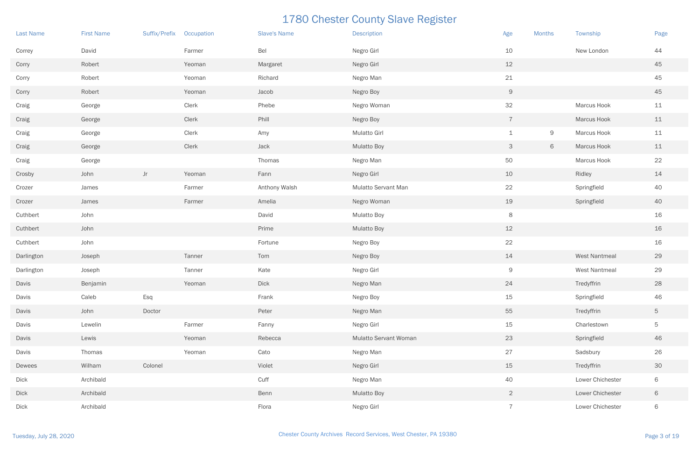| <b>Last Name</b> | <b>First Name</b> | <b>Suffix/Prefix</b> | Occupation | <b>Slave's Name</b> | <b>Description</b>           | Age            | <b>Months</b> | Township         | Page        |
|------------------|-------------------|----------------------|------------|---------------------|------------------------------|----------------|---------------|------------------|-------------|
| Correy           | David             |                      | Farmer     | Bel                 | Negro Girl                   | 10             |               | New London       | 44          |
| Corry            | Robert            |                      | Yeoman     | Margaret            | Negro Girl                   | 12             |               |                  | 45          |
| Corry            | Robert            |                      | Yeoman     | Richard             | Negro Man                    | 21             |               |                  | 45          |
| Corry            | Robert            |                      | Yeoman     | Jacob               | Negro Boy                    | 9              |               |                  | 45          |
| Craig            | George            |                      | Clerk      | Phebe               | Negro Woman                  | 32             |               | Marcus Hook      | 11          |
| Craig            | George            |                      | Clerk      | Phill               | Negro Boy                    | $\overline{7}$ |               | Marcus Hook      | 11          |
| Craig            | George            |                      | Clerk      | Amy                 | <b>Mulatto Girl</b>          | $\mathbf 1$    | 9             | Marcus Hook      | 11          |
| Craig            | George            |                      | Clerk      | Jack                | <b>Mulatto Boy</b>           | 3              | 6             | Marcus Hook      | 11          |
| Craig            | George            |                      |            | Thomas              | Negro Man                    | 50             |               | Marcus Hook      | 22          |
| Crosby           | John              | Jr                   | Yeoman     | Fann                | Negro Girl                   | 10             |               | Ridley           | 14          |
| Crozer           | James             |                      | Farmer     | Anthony Walsh       | Mulatto Servant Man          | 22             |               | Springfield      | 40          |
| Crozer           | James             |                      | Farmer     | Amelia              | Negro Woman                  | 19             |               | Springfield      | 40          |
| Cuthbert         | John              |                      |            | David               | <b>Mulatto Boy</b>           | 8              |               |                  | 16          |
| Cuthbert         | John              |                      |            | Prime               | <b>Mulatto Boy</b>           | 12             |               |                  | 16          |
| Cuthbert         | John              |                      |            | Fortune             | Negro Boy                    | 22             |               |                  | 16          |
| Darlington       | Joseph            |                      | Tanner     | Tom                 | Negro Boy                    | 14             |               | West Nantmeal    | 29          |
| Darlington       | Joseph            |                      | Tanner     | Kate                | Negro Girl                   | 9              |               | West Nantmeal    | 29          |
| Davis            | Benjamin          |                      | Yeoman     | Dick                | Negro Man                    | 24             |               | Tredyffrin       | 28          |
| Davis            | Caleb             | Esq                  |            | Frank               | Negro Boy                    | 15             |               | Springfield      | 46          |
| Davis            | John              | Doctor               |            | Peter               | Negro Man                    | 55             |               | Tredyffrin       | $\mathbf 5$ |
| Davis            | Lewelin           |                      | Farmer     | Fanny               | Negro Girl                   | 15             |               | Charlestown      | $\mathbf 5$ |
| Davis            | Lewis             |                      | Yeoman     | Rebecca             | <b>Mulatto Servant Woman</b> | 23             |               | Springfield      | 46          |
| Davis            | Thomas            |                      | Yeoman     | Cato                | Negro Man                    | 27             |               | Sadsbury         | 26          |
| Dewees           | Wilham            | Colonel              |            | Violet              | Negro Girl                   | 15             |               | Tredyffrin       | 30          |
| Dick             | Archibald         |                      |            | Cuff                | Negro Man                    | 40             |               | Lower Chichester | $\,$ 6 $\,$ |
| <b>Dick</b>      | Archibald         |                      |            | Benn                | <b>Mulatto Boy</b>           | 2 <sup>1</sup> |               | Lower Chichester | 6           |
| Dick             | Archibald         |                      |            | Flora               | Negro Girl                   | $\overline{7}$ |               | Lower Chichester | 6           |

| <b>Months</b> | Township             | Page |
|---------------|----------------------|------|
|               | New London           | 44   |
|               |                      | 45   |
|               |                      | 45   |
|               |                      | 45   |
|               | Marcus Hook          | 11   |
|               | Marcus Hook          | 11   |
| 9             | Marcus Hook          | 11   |
| 6             | Marcus Hook          | 11   |
|               | Marcus Hook          | 22   |
|               | Ridley               | 14   |
|               | Springfield          | 40   |
|               | Springfield          | 40   |
|               |                      | 16   |
|               |                      | 16   |
|               |                      | 16   |
|               | <b>West Nantmeal</b> | 29   |
|               | <b>West Nantmeal</b> | 29   |
|               | Tredyffrin           | 28   |
|               | Springfield          | 46   |
|               | Tredyffrin           | 5    |
|               | Charlestown          | 5    |
|               | Springfield          | 46   |
|               | Sadsbury             | 26   |
|               | Tredyffrin           | 30   |
|               | Lower Chichester     | 6    |
|               | Lower Chichester     | 6    |
|               | Lower Chichester     | 6    |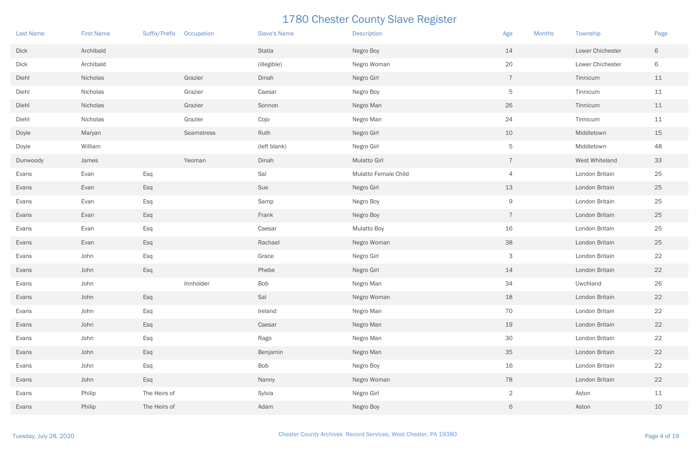| <b>Last Name</b> | <b>First Name</b> | Suffix/Prefix Occupation |            | <b>Slave's Name</b> | <b>Description</b>   | Age<br><b>Months</b> | Township         | Page |
|------------------|-------------------|--------------------------|------------|---------------------|----------------------|----------------------|------------------|------|
| <b>Dick</b>      | Archibald         |                          |            | Statia              | Negro Boy            | 14                   | Lower Chichester | 6    |
| <b>Dick</b>      | Archibald         |                          |            | (illegible)         | Negro Woman          | 20                   | Lower Chichester | 6    |
| Diehl            | Nicholas          |                          | Grazier    | Dinah               | Negro Girl           | $\overline{7}$       | Tinnicum         | 11   |
| Diehl            | Nicholas          |                          | Grazier    | Caesar              | Negro Boy            | 5                    | Tinnicum         | 11   |
| Diehl            | Nicholas          |                          | Grazier    | Sonnon              | Negro Man            | 26                   | Tinnicum         | $11$ |
| Diehl            | Nicholas          |                          | Grazier    | Cojo                | Negro Man            | 24                   | Tinnicum         | 11   |
| Doyle            | Maryan            |                          | Seamstress | Ruth                | Negro Girl           | 10                   | Middletown       | 15   |
| Doyle            | William           |                          |            | (left blank)        | Negro Girl           | 5                    | Middletown       | 48   |
| Dunwoody         | James             |                          | Yeoman     | Dinah               | <b>Mulatto Girl</b>  | $\overline{7}$       | West Whiteland   | 33   |
| Evans            | Evan              | Esq                      |            | Sal                 | Mulatto Female Child | $\overline{4}$       | London Britain   | 25   |
| Evans            | Evan              | Esq                      |            | Sue                 | Negro Girl           | 13                   | London Britain   | 25   |
| Evans            | Evan              | Esq                      |            | Samp                | Negro Boy            | 9                    | London Britain   | 25   |
| Evans            | Evan              | Esq                      |            | Frank               | Negro Boy            | $\overline{7}$       | London Britain   | 25   |
| Evans            | Evan              | Esq                      |            | Caesar              | <b>Mulatto Boy</b>   | 16                   | London Britain   | 25   |
| Evans            | Evan              | Esq                      |            | Rachael             | Negro Woman          | 38                   | London Britain   | 25   |
| Evans            | John              | Esq                      |            | Grace               | Negro Girl           | 3                    | London Britain   | 22   |
| Evans            | John              | Esq                      |            | Phebe               | Negro Girl           | 14                   | London Britain   | 22   |
| Evans            | John              |                          | Innholder  | Bob                 | Negro Man            | 34                   | Uwchland         | 26   |
| Evans            | John              | Esq                      |            | Sal                 | Negro Woman          | 18                   | London Britain   | 22   |
| Evans            | John              | Esq                      |            | Ireland             | Negro Man            | 70                   | London Britain   | 22   |
| Evans            | John              | Esq                      |            | Caesar              | Negro Man            | 19                   | London Britain   | 22   |
| Evans            | John              | Esq                      |            | Rago                | Negro Man            | 30                   | London Britain   | 22   |
| Evans            | John              | Esq                      |            | Benjamin            | Negro Man            | 35                   | London Britain   | 22   |
| Evans            | John              | Esq                      |            | Bob                 | Negro Boy            | 16                   | London Britain   | 22   |
| Evans            | John              | Esq                      |            | Nanny               | Negro Woman          | 78                   | London Britain   | 22   |
| Evans            | Philip            | The Heirs of             |            | Sylvia              | Negro Girl           | $\overline{2}$       | Aston            | 11   |
| Evans            | Philip            | The Heirs of             |            | Adam                | Negro Boy            | 6                    | Aston            | 10   |

| <b>Months</b> | Township         | Page |
|---------------|------------------|------|
|               | Lower Chichester | 6    |
|               | Lower Chichester | 6    |
|               | Tinnicum         | 11   |
|               | Tinnicum         | 11   |
|               | Tinnicum         | 11   |
|               | Tinnicum         | 11   |
|               | Middletown       | 15   |
|               | Middletown       | 48   |
|               | West Whiteland   | 33   |
|               | London Britain   | 25   |
|               | London Britain   | 25   |
|               | London Britain   | 25   |
|               | London Britain   | 25   |
|               | London Britain   | 25   |
|               | London Britain   | 25   |
|               | London Britain   | 22   |
|               | London Britain   | 22   |
|               | Uwchland         | 26   |
|               | London Britain   | 22   |
|               | London Britain   | 22   |
|               | London Britain   | 22   |
|               | London Britain   | 22   |
|               | London Britain   | 22   |
|               | London Britain   | 22   |
|               | London Britain   | 22   |
|               | Aston            | 11   |
|               | Aston            | 10   |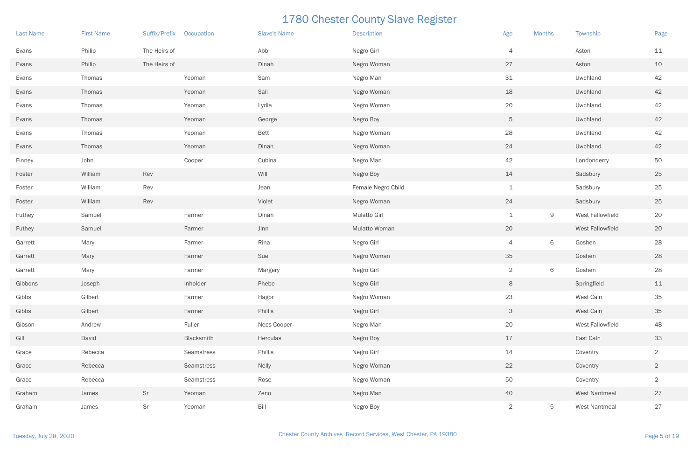| <b>Last Name</b> | <b>First Name</b> | Suffix/Prefix Occupation |            | <b>Slave's Name</b> | <b>Description</b>  | Age            | <b>Months</b> | Township             | Page           |
|------------------|-------------------|--------------------------|------------|---------------------|---------------------|----------------|---------------|----------------------|----------------|
| Evans            | Philip            | The Heirs of             |            | Abb                 | Negro Girl          | $\overline{4}$ |               | Aston                | 11             |
| Evans            | Philip            | The Heirs of             |            | Dinah               | Negro Woman         | 27             |               | Aston                | 10             |
| Evans            | Thomas            |                          | Yeoman     | Sam                 | Negro Man           | 31             |               | Uwchland             | 42             |
| Evans            | Thomas            |                          | Yeoman     | Sall                | Negro Woman         | 18             |               | Uwchland             | 42             |
| Evans            | Thomas            |                          | Yeoman     | Lydia               | Negro Woman         | 20             |               | Uwchland             | 42             |
| Evans            | Thomas            |                          | Yeoman     | George              | Negro Boy           | 5              |               | Uwchland             | 42             |
| Evans            | Thomas            |                          | Yeoman     | <b>Bett</b>         | Negro Woman         | 28             |               | Uwchland             | 42             |
| Evans            | Thomas            |                          | Yeoman     | Dinah               | Negro Woman         | 24             |               | Uwchland             | 42             |
| Finney           | John              |                          | Cooper     | Cubina              | Negro Man           | 42             |               | Londonderry          | 50             |
| Foster           | William           | Rev                      |            | Will                | Negro Boy           | 14             |               | Sadsbury             | 25             |
| Foster           | William           | Rev                      |            | Jean                | Female Negro Child  | $\perp$        |               | Sadsbury             | 25             |
| Foster           | William           | Rev                      |            | Violet              | Negro Woman         | 24             |               | Sadsbury             | 25             |
| Futhey           | Samuel            |                          | Farmer     | Dinah               | <b>Mulatto Girl</b> | $\perp$        | $\Theta$      | West Fallowfield     | 20             |
| Futhey           | Samuel            |                          | Farmer     | Jinn                | Mulatto Woman       | 20             |               | West Fallowfield     | 20             |
| Garrett          | Mary              |                          | Farmer     | Rina                | Negro Girl          | $\overline{4}$ | 6             | Goshen               | 28             |
| Garrett          | Mary              |                          | Farmer     | Sue                 | Negro Woman         | 35             |               | Goshen               | 28             |
| Garrett          | Mary              |                          | Farmer     | Margery             | Negro Girl          | $\overline{2}$ | $\,$ 6 $\,$   | Goshen               | 28             |
| Gibbons          | Joseph            |                          | Inholder   | Phebe               | Negro Girl          | 8              |               | Springfield          | 11             |
| Gibbs            | Gilbert           |                          | Farmer     | Hagor               | Negro Woman         | 23             |               | West Caln            | 35             |
| Gibbs            | Gilbert           |                          | Farmer     | Phillis             | Negro Girl          | $\mathsf{3}$   |               | West Caln            | 35             |
| Gibson           | Andrew            |                          | Fuller     | Nees Cooper         | Negro Man           | 20             |               | West Fallowfield     | 48             |
| Gill             | David             |                          | Blacksmith | Herculas            | Negro Boy           | 17             |               | East Caln            | 33             |
| Grace            | Rebecca           |                          | Seamstress | Phillis             | Negro Girl          | 14             |               | Coventry             | $\overline{2}$ |
| Grace            | Rebecca           |                          | Seamstress | Nelly               | Negro Woman         | 22             |               | Coventry             | $\overline{2}$ |
| Grace            | Rebecca           |                          | Seamstress | Rose                | Negro Woman         | 50             |               | Coventry             | $\sqrt{2}$     |
| Graham           | James             | Sr                       | Yeoman     | Zeno                | Negro Man           | 40             |               | West Nantmeal        | 27             |
| Graham           | James             | Sr                       | Yeoman     | Bill                | Negro Boy           | $\overline{2}$ | $\mathbf 5$   | <b>West Nantmeal</b> | 27             |

| <b>Months</b> | Township                | Page           |
|---------------|-------------------------|----------------|
|               | Aston                   | 11             |
|               | Aston                   | 10             |
|               | Uwchland                | 42             |
|               | Uwchland                | 42             |
|               | Uwchland                | 42             |
|               | Uwchland                | 42             |
|               | Uwchland                | 42             |
|               | Uwchland                | 42             |
|               | Londonderry             | 50             |
|               | Sadsbury                | 25             |
|               | Sadsbury                | 25             |
|               | Sadsbury                | 25             |
| 9             | West Fallowfield        | 20             |
|               | <b>West Fallowfield</b> | 20             |
| 6             | Goshen                  | 28             |
|               | Goshen                  | 28             |
| 6             | Goshen                  | 28             |
|               | Springfield             | 11             |
|               | West Caln               | 35             |
|               | West Caln               | 35             |
|               | <b>West Fallowfield</b> | 48             |
|               | East Caln               | 33             |
|               | Coventry                | $\overline{2}$ |
|               | Coventry                | $\overline{2}$ |
|               | Coventry                | $\overline{2}$ |
|               | <b>West Nantmeal</b>    | 27             |
| 5             | <b>West Nantmeal</b>    | 27             |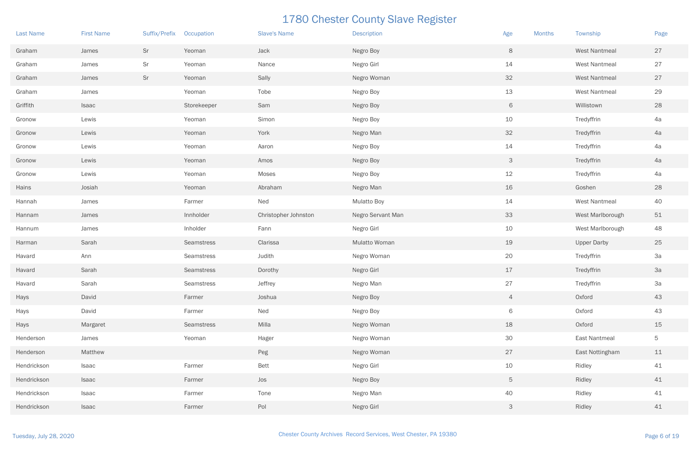| <b>Last Name</b> | <b>First Name</b> | Suffix/Prefix | Occupation        | <b>Slave's Name</b>  | <b>Description</b> | Age             | <b>Months</b> | Township             | Page        |
|------------------|-------------------|---------------|-------------------|----------------------|--------------------|-----------------|---------------|----------------------|-------------|
| Graham           | James             | Sr            | Yeoman            | Jack                 | Negro Boy          | 8               |               | <b>West Nantmeal</b> | 27          |
| Graham           | James             | Sr            | Yeoman            | Nance                | Negro Girl         | 14              |               | <b>West Nantmeal</b> | 27          |
| Graham           | James             | Sr            | Yeoman            | Sally                | Negro Woman        | 32              |               | <b>West Nantmeal</b> | 27          |
| Graham           | James             |               | Yeoman            | Tobe                 | Negro Boy          | 13              |               | <b>West Nantmeal</b> | 29          |
| Griffith         | Isaac             |               | Storekeeper       | Sam                  | Negro Boy          | 6               |               | Willistown           | 28          |
| Gronow           | Lewis             |               | Yeoman            | Simon                | Negro Boy          | 10              |               | Tredyffrin           | 4a          |
| Gronow           | Lewis             |               | Yeoman            | York                 | Negro Man          | 32              |               | Tredyffrin           | 4a          |
| Gronow           | Lewis             |               | Yeoman            | Aaron                | Negro Boy          | 14              |               | Tredyffrin           | 4a          |
| Gronow           | Lewis             |               | Yeoman            | Amos                 | Negro Boy          | 3               |               | Tredyffrin           | 4a          |
| Gronow           | Lewis             |               | Yeoman            | Moses                | Negro Boy          | 12              |               | Tredyffrin           | 4a          |
| Hains            | Josiah            |               | Yeoman            | Abraham              | Negro Man          | 16              |               | Goshen               | 28          |
| Hannah           | James             |               | Farmer            | Ned                  | <b>Mulatto Boy</b> | 14              |               | West Nantmeal        | 40          |
| Hannam           | James             |               | Innholder         | Christopher Johnston | Negro Servant Man  | 33              |               | West Marlborough     | 51          |
| Hannum           | James             |               | Inholder          | Fann                 | Negro Girl         | 10              |               | West Marlborough     | 48          |
| Harman           | Sarah             |               | Seamstress        | Clarissa             | Mulatto Woman      | 19              |               | <b>Upper Darby</b>   | 25          |
| Havard           | Ann               |               | Seamstress        | Judith               | Negro Woman        | 20              |               | Tredyffrin           | 3a          |
| Havard           | Sarah             |               | <b>Seamstress</b> | Dorothy              | Negro Girl         | 17              |               | Tredyffrin           | 3a          |
| Havard           | Sarah             |               | Seamstress        | Jeffrey              | Negro Man          | 27              |               | Tredyffrin           | 3a          |
| Hays             | David             |               | Farmer            | Joshua               | Negro Boy          | $\overline{4}$  |               | Oxford               | 43          |
| Hays             | David             |               | Farmer            | Ned                  | Negro Boy          | 6               |               | Oxford               | 43          |
| Hays             | Margaret          |               | Seamstress        | Milla                | Negro Woman        | 18              |               | Oxford               | 15          |
| Henderson        | James             |               | Yeoman            | Hager                | Negro Woman        | 30              |               | East Nantmeal        | $\mathbf 5$ |
| Henderson        | Matthew           |               |                   | Peg                  | Negro Woman        | 27              |               | East Nottingham      | 11          |
| Hendrickson      | Isaac             |               | Farmer            | <b>Bett</b>          | Negro Girl         | 10              |               | Ridley               | 41          |
| Hendrickson      | Isaac             |               | Farmer            | Jos                  | Negro Boy          | $5\phantom{.0}$ |               | Ridley               | 41          |
| Hendrickson      | Isaac             |               | Farmer            | Tone                 | Negro Man          | 40              |               | Ridley               | 41          |
| Hendrickson      | Isaac             |               | Farmer            | Pol                  | Negro Girl         | 3 <sup>1</sup>  |               | Ridley               | 41          |

| <b>Months</b> | Township             | Page |
|---------------|----------------------|------|
|               | <b>West Nantmeal</b> | 27   |
|               | <b>West Nantmeal</b> | 27   |
|               | <b>West Nantmeal</b> | 27   |
|               | <b>West Nantmeal</b> | 29   |
|               | Willistown           | 28   |
|               | Tredyffrin           | 4a   |
|               | Tredyffrin           | 4a   |
|               | Tredyffrin           | 4a   |
|               | Tredyffrin           | 4a   |
|               | Tredyffrin           | 4a   |
|               | Goshen               | 28   |
|               | <b>West Nantmeal</b> | 40   |
|               | West Marlborough     | 51   |
|               | West Marlborough     | 48   |
|               | <b>Upper Darby</b>   | 25   |
|               | Tredyffrin           | 3a   |
|               | Tredyffrin           | 3a   |
|               | Tredyffrin           | 3a   |
|               | Oxford               | 43   |
|               | Oxford               | 43   |
|               | Oxford               | 15   |
|               | <b>East Nantmeal</b> | 5    |
|               | East Nottingham      | 11   |
|               | Ridley               | 41   |
|               | Ridley               | 41   |
|               | Ridley               | 41   |
|               | Ridley               | 41   |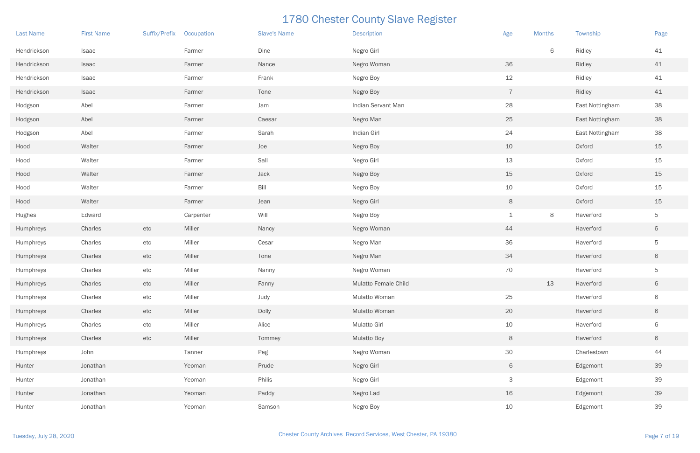| <b>Last Name</b> | <b>First Name</b> | Suffix/Prefix | Occupation | <b>Slave's Name</b> | <b>Description</b>   | Age            | <b>Months</b> | Township        | Page           |
|------------------|-------------------|---------------|------------|---------------------|----------------------|----------------|---------------|-----------------|----------------|
| Hendrickson      | Isaac             |               | Farmer     | Dine                | Negro Girl           |                | 6             | Ridley          | 41             |
| Hendrickson      | Isaac             |               | Farmer     | Nance               | Negro Woman          | 36             |               | Ridley          | 41             |
| Hendrickson      | Isaac             |               | Farmer     | Frank               | Negro Boy            | 12             |               | Ridley          | 41             |
| Hendrickson      | Isaac             |               | Farmer     | Tone                | Negro Boy            | $\overline{7}$ |               | Ridley          | 41             |
| Hodgson          | Abel              |               | Farmer     | Jam                 | Indian Servant Man   | 28             |               | East Nottingham | 38             |
| Hodgson          | Abel              |               | Farmer     | Caesar              | Negro Man            | 25             |               | East Nottingham | 38             |
| Hodgson          | Abel              |               | Farmer     | Sarah               | Indian Girl          | 24             |               | East Nottingham | 38             |
| Hood             | Walter            |               | Farmer     | Joe                 | Negro Boy            | 10             |               | Oxford          | 15             |
| Hood             | Walter            |               | Farmer     | Sall                | Negro Girl           | 13             |               | Oxford          | 15             |
| Hood             | Walter            |               | Farmer     | Jack                | Negro Boy            | 15             |               | Oxford          | 15             |
| Hood             | Walter            |               | Farmer     | Bill                | Negro Boy            | 10             |               | Oxford          | 15             |
| Hood             | Walter            |               | Farmer     | Jean                | Negro Girl           | 8              |               | Oxford          | 15             |
| Hughes           | Edward            |               | Carpenter  | Will                | Negro Boy            | $\mathbf 1$    | $\,8\,$       | Haverford       | 5              |
| Humphreys        | Charles           | etc           | Miller     | Nancy               | Negro Woman          | 44             |               | Haverford       | 6              |
| Humphreys        | Charles           | etc           | Miller     | Cesar               | Negro Man            | 36             |               | Haverford       | 5              |
| Humphreys        | Charles           | etc           | Miller     | Tone                | Negro Man            | 34             |               | Haverford       | 6              |
| Humphreys        | Charles           | etc           | Miller     | Nanny               | Negro Woman          | 70             |               | Haverford       | 5              |
| Humphreys        | Charles           | etc           | Miller     | Fanny               | Mulatto Female Child |                | 13            | Haverford       | 6              |
| Humphreys        | Charles           | etc           | Miller     | Judy                | Mulatto Woman        | 25             |               | Haverford       | $\,$ 6 $\,$    |
| Humphreys        | Charles           | etc           | Miller     | Dolly               | Mulatto Woman        | 20             |               | Haverford       | $\,$ 6 $\,$    |
| Humphreys        | Charles           | etc           | Miller     | Alice               | Mulatto Girl         | 10             |               | Haverford       | $\,$ $\,$ $\,$ |
| Humphreys        | Charles           | etc           | Miller     | Tommey              | <b>Mulatto Boy</b>   | $8\phantom{1}$ |               | Haverford       | $\,$ 6 $\,$    |
| Humphreys        | John              |               | Tanner     | Peg                 | Negro Woman          | 30             |               | Charlestown     | 44             |
| Hunter           | Jonathan          |               | Yeoman     | Prude               | Negro Girl           | 6              |               | Edgemont        | 39             |
| Hunter           | Jonathan          |               | Yeoman     | Philis              | Negro Girl           | $\mathsf{3}$   |               | Edgemont        | 39             |
| Hunter           | Jonathan          |               | Yeoman     | Paddy               | Negro Lad            | 16             |               | Edgemont        | 39             |
| Hunter           | Jonathan          |               | Yeoman     | Samson              | Negro Boy            | 10             |               | Edgemont        | 39             |

| <b>Months</b> | Township        | Page        |
|---------------|-----------------|-------------|
| 6             | Ridley          | 41          |
|               | Ridley          | 41          |
|               | Ridley          | 41          |
|               | Ridley          | 41          |
|               | East Nottingham | 38          |
|               | East Nottingham | 38          |
|               | East Nottingham | 38          |
|               | Oxford          | 15          |
|               | Oxford          | 15          |
|               | Oxford          | 15          |
|               | Oxford          | 15          |
|               | Oxford          | 15          |
| 8             | Haverford       | 5           |
|               | Haverford       | $\mathsf 6$ |
|               | Haverford       | 5           |
|               | Haverford       | $\mathsf 6$ |
|               | Haverford       | 5           |
| 13            | Haverford       | 6           |
|               | Haverford       | 6           |
|               | Haverford       | 6           |
|               | Haverford       | 6           |
|               | Haverford       | 6           |
|               | Charlestown     | 44          |
|               | Edgemont        | 39          |
|               | Edgemont        | 39          |
|               | Edgemont        | 39          |
|               | Edgemont        | 39          |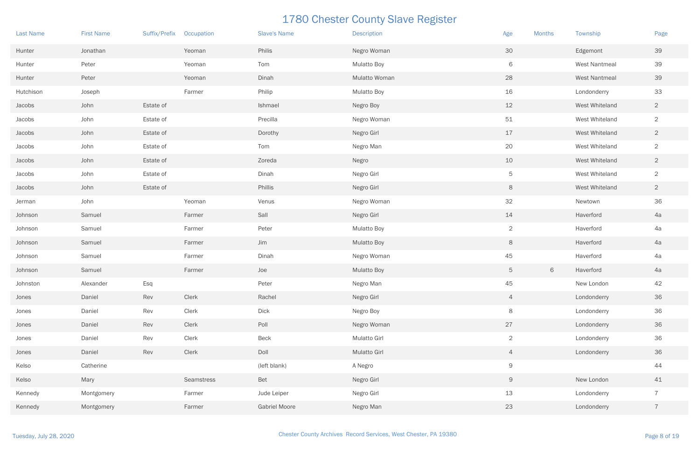| <b>Last Name</b> | <b>First Name</b> | Suffix/Prefix | Occupation | <b>Slave's Name</b>  | <b>Description</b> | Age             | <b>Months</b> | Township             | Page           |
|------------------|-------------------|---------------|------------|----------------------|--------------------|-----------------|---------------|----------------------|----------------|
| Hunter           | Jonathan          |               | Yeoman     | Philis               | Negro Woman        | 30              |               | Edgemont             | 39             |
| Hunter           | Peter             |               | Yeoman     | Tom                  | <b>Mulatto Boy</b> | 6               |               | <b>West Nantmeal</b> | 39             |
| Hunter           | Peter             |               | Yeoman     | Dinah                | Mulatto Woman      | 28              |               | <b>West Nantmeal</b> | 39             |
| Hutchison        | Joseph            |               | Farmer     | Philip               | <b>Mulatto Boy</b> | 16              |               | Londonderry          | 33             |
| Jacobs           | John              | Estate of     |            | Ishmael              | Negro Boy          | 12              |               | West Whiteland       | $\overline{2}$ |
| Jacobs           | John              | Estate of     |            | Precilla             | Negro Woman        | 51              |               | West Whiteland       | $\overline{2}$ |
| Jacobs           | John              | Estate of     |            | Dorothy              | Negro Girl         | 17              |               | West Whiteland       | $\overline{2}$ |
| Jacobs           | John              | Estate of     |            | Tom                  | Negro Man          | 20              |               | West Whiteland       | $\overline{2}$ |
| Jacobs           | John              | Estate of     |            | Zoreda               | Negro              | 10              |               | West Whiteland       | $\overline{2}$ |
| Jacobs           | John              | Estate of     |            | Dinah                | Negro Girl         | 5               |               | West Whiteland       | $\overline{2}$ |
| Jacobs           | John              | Estate of     |            | Phillis              | Negro Girl         | 8               |               | West Whiteland       | $\overline{2}$ |
| Jerman           | John              |               | Yeoman     | Venus                | Negro Woman        | 32              |               | Newtown              | 36             |
| Johnson          | Samuel            |               | Farmer     | Sall                 | Negro Girl         | 14              |               | Haverford            | 4a             |
| Johnson          | Samuel            |               | Farmer     | Peter                | <b>Mulatto Boy</b> | $\overline{2}$  |               | Haverford            | 4a             |
| Johnson          | Samuel            |               | Farmer     | Jim                  | <b>Mulatto Boy</b> | 8               |               | Haverford            | 4a             |
| Johnson          | Samuel            |               | Farmer     | Dinah                | Negro Woman        | 45              |               | Haverford            | 4a             |
| Johnson          | Samuel            |               | Farmer     | Joe                  | <b>Mulatto Boy</b> | $5\overline{)}$ | 6             | Haverford            | 4a             |
| Johnston         | Alexander         | Esq           |            | Peter                | Negro Man          | 45              |               | New London           | 42             |
| Jones            | Daniel            | Rev           | Clerk      | Rachel               | Negro Girl         | $\overline{4}$  |               | Londonderry          | 36             |
| Jones            | Daniel            | Rev           | Clerk      | Dick                 | Negro Boy          | 8               |               | Londonderry          | 36             |
| Jones            | Daniel            | Rev           | Clerk      | Poll                 | Negro Woman        | 27              |               | Londonderry          | 36             |
| Jones            | Daniel            | Rev           | Clerk      | Beck                 | Mulatto Girl       | $\overline{2}$  |               | Londonderry          | 36             |
| Jones            | Daniel            | Rev           | Clerk      | Doll                 | Mulatto Girl       | $\overline{4}$  |               | Londonderry          | 36             |
| Kelso            | Catherine         |               |            | (left blank)         | A Negro            | 9               |               |                      | 44             |
| Kelso            | Mary              |               | Seamstress | Bet                  | Negro Girl         | 9               |               | New London           | 41             |
| Kennedy          | Montgomery        |               | Farmer     | Jude Leiper          | Negro Girl         | 13              |               | Londonderry          | $\overline{7}$ |
| Kennedy          | Montgomery        |               | Farmer     | <b>Gabriel Moore</b> | Negro Man          | 23              |               | Londonderry          | $\overline{7}$ |

| <b>Months</b> | Township             | Page           |
|---------------|----------------------|----------------|
|               | Edgemont             | 39             |
|               | <b>West Nantmeal</b> | 39             |
|               | <b>West Nantmeal</b> | 39             |
|               | Londonderry          | 33             |
|               | West Whiteland       | $\overline{2}$ |
|               | West Whiteland       | $\overline{2}$ |
|               | West Whiteland       | $\mathbf{2}$   |
|               | West Whiteland       | $\overline{2}$ |
|               | West Whiteland       | $\mathbf{2}$   |
|               | West Whiteland       | $\overline{2}$ |
|               | West Whiteland       | $\overline{2}$ |
|               | Newtown              | 36             |
|               | Haverford            | 4a             |
|               | Haverford            | 4a             |
|               | Haverford            | 4a             |
|               | Haverford            | 4a             |
| 6             | Haverford            | 4a             |
|               | New London           | 42             |
|               | Londonderry          | 36             |
|               | Londonderry          | 36             |
|               | Londonderry          | 36             |
|               | Londonderry          | 36             |
|               | Londonderry          | 36             |
|               |                      | 44             |
|               | New London           | 41             |
|               | Londonderry          | $\overline{7}$ |
|               | Londonderry          | $\overline{7}$ |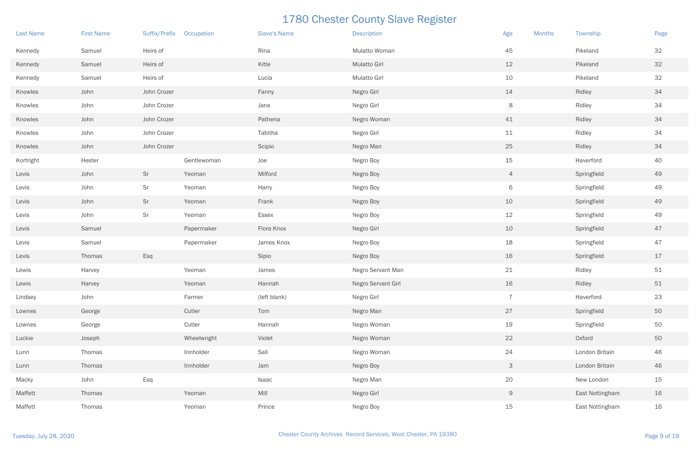| <b>Last Name</b> | <b>First Name</b> | Suffix/Prefix | Occupation  | <b>Slave's Name</b> | <b>Description</b>  | Age<br><b>Months</b> | Township        | Page |
|------------------|-------------------|---------------|-------------|---------------------|---------------------|----------------------|-----------------|------|
| Kennedy          | Samuel            | Heirs of      |             | Rina                | Mulatto Woman       | 45                   | Pikeland        | 32   |
| Kennedy          | Samuel            | Heirs of      |             | Kitte               | <b>Mulatto Girl</b> | 12                   | Pikeland        | $32$ |
| Kennedy          | Samuel            | Heirs of      |             | Lucia               | <b>Mulatto Girl</b> | 10                   | Pikeland        | 32   |
| Knowles          | John              | John Crozer   |             | Fanny               | Negro Girl          | 14                   | Ridley          | 34   |
| Knowles          | John              | John Crozer   |             | Jane                | Negro Girl          | 8                    | Ridley          | 34   |
| Knowles          | John              | John Crozer   |             | Pathena             | Negro Woman         | 41                   | Ridley          | 34   |
| Knowles          | John              | John Crozer   |             | Tabitha             | Negro Girl          | 11                   | Ridley          | 34   |
| Knowles          | John              | John Crozer   |             | Scipio              | Negro Man           | 25                   | Ridley          | 34   |
| Kortright        | Hester            |               | Gentlewoman | Joe                 | Negro Boy           | 15                   | Haverford       | 40   |
| Levis            | John              | Sr            | Yeoman      | Milford             | Negro Boy           | $\overline{4}$       | Springfield     | 49   |
| Levis            | John              | Sr            | Yeoman      | Harry               | Negro Boy           | 6                    | Springfield     | 49   |
| Levis            | John              | Sr            | Yeoman      | Frank               | Negro Boy           | 10                   | Springfield     | 49   |
| Levis            | John              | Sr            | Yeoman      | Essex               | Negro Boy           | 12                   | Springfield     | 49   |
| Levis            | Samuel            |               | Papermaker  | Flora Knox          | Negro Girl          | 10                   | Springfield     | 47   |
| Levis            | Samuel            |               | Papermaker  | James Knox          | Negro Boy           | 18                   | Springfield     | 47   |
| Levis            | Thomas            | Esq           |             | Sipio               | Negro Boy           | 16                   | Springfield     | 17   |
| Lewis            | Harvey            |               | Yeoman      | James               | Negro Servant Man   | 21                   | Ridley          | 51   |
| Lewis            | Harvey            |               | Yeoman      | Hannah              | Negro Servant Girl  | 16                   | Ridley          | 51   |
| Lindsey          | John              |               | Farmer      | (left blank)        | Negro Girl          | $\overline{7}$       | Haverford       | 23   |
| Lownes           | George            |               | Cutler      | Tom                 | Negro Man           | 27                   | Springfield     | 50   |
| Lownes           | George            |               | Cutler      | Hannah              | Negro Woman         | 19                   | Springfield     | 50   |
| Luckie           | Joseph            |               | Wheelwright | Violet              | Negro Woman         | 22                   | Oxford          | 50   |
| Lunn             | Thomas            |               | Innholder   | Sall                | Negro Woman         | 24                   | London Britain  | 46   |
| Lunn             | Thomas            |               | Innholder   | Jam                 | Negro Boy           | $\mathsf{3}$         | London Britain  | 46   |
| Macky            | John              | Esq           |             | Isaac               | Negro Man           | 20                   | New London      | 15   |
| Maffett          | Thomas            |               | Yeoman      | Mill                | Negro Girl          | 9                    | East Nottingham | 16   |
| Maffett          | Thomas            |               | Yeoman      | Prince              | Negro Boy           | 15                   | East Nottingham | 16   |

| <b>Months</b> | Township        | Page |
|---------------|-----------------|------|
|               | Pikeland        | 32   |
|               | Pikeland        | 32   |
|               | Pikeland        | 32   |
|               | Ridley          | 34   |
|               | Ridley          | 34   |
|               | Ridley          | 34   |
|               | Ridley          | 34   |
|               | Ridley          | 34   |
|               | Haverford       | 40   |
|               | Springfield     | 49   |
|               | Springfield     | 49   |
|               | Springfield     | 49   |
|               | Springfield     | 49   |
|               | Springfield     | 47   |
|               | Springfield     | 47   |
|               | Springfield     | 17   |
|               | Ridley          | 51   |
|               | Ridley          | 51   |
|               | Haverford       | 23   |
|               | Springfield     | 50   |
|               | Springfield     | 50   |
|               | Oxford          | 50   |
|               | London Britain  | 46   |
|               | London Britain  | 46   |
|               | New London      | 15   |
|               | East Nottingham | 16   |
|               | East Nottingham | 16   |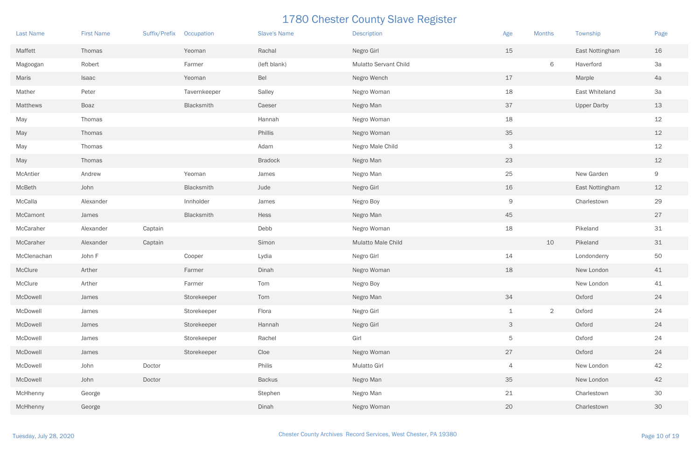| <b>Last Name</b> | <b>First Name</b> | Suffix/Prefix | Occupation   | <b>Slave's Name</b> | <b>Description</b>           | Age            | <b>Months</b>  | Township           | Page           |
|------------------|-------------------|---------------|--------------|---------------------|------------------------------|----------------|----------------|--------------------|----------------|
| Maffett          | Thomas            |               | Yeoman       | Rachal              | Negro Girl                   | 15             |                | East Nottingham    | 16             |
| Magoogan         | Robert            |               | Farmer       | (left blank)        | <b>Mulatto Servant Child</b> |                | 6              | Haverford          | 3a             |
| Maris            | Isaac             |               | Yeoman       | Bel                 | Negro Wench                  | 17             |                | Marple             | 4a             |
| Mather           | Peter             |               | Tavernkeeper | Salley              | Negro Woman                  | 18             |                | East Whiteland     | 3a             |
| Matthews         | Boaz              |               | Blacksmith   | Caeser              | Negro Man                    | 37             |                | <b>Upper Darby</b> | 13             |
| May              | Thomas            |               |              | Hannah              | Negro Woman                  | 18             |                |                    | 12             |
| May              | Thomas            |               |              | Phillis             | Negro Woman                  | 35             |                |                    | 12             |
| May              | Thomas            |               |              | Adam                | Negro Male Child             | 3              |                |                    | 12             |
| May              | Thomas            |               |              | <b>Bradock</b>      | Negro Man                    | 23             |                |                    | 12             |
| McAntier         | Andrew            |               | Yeoman       | James               | Negro Man                    | 25             |                | New Garden         | $\overline{9}$ |
| McBeth           | John              |               | Blacksmith   | Jude                | Negro Girl                   | 16             |                | East Nottingham    | 12             |
| McCalla          | Alexander         |               | Innholder    | James               | Negro Boy                    | 9              |                | Charlestown        | 29             |
| McCamont         | James             |               | Blacksmith   | Hess                | Negro Man                    | 45             |                |                    | 27             |
| McCaraher        | Alexander         | Captain       |              | Debb                | Negro Woman                  | 18             |                | Pikeland           | 31             |
| McCaraher        | Alexander         | Captain       |              | Simon               | Mulatto Male Child           |                | 10             | Pikeland           | 31             |
| McClenachan      | John F            |               | Cooper       | Lydia               | Negro Girl                   | 14             |                | Londonderry        | 50             |
| McClure          | Arther            |               | Farmer       | Dinah               | Negro Woman                  | 18             |                | New London         | 41             |
| McClure          | Arther            |               | Farmer       | Tom                 | Negro Boy                    |                |                | New London         | 41             |
| McDowell         | James             |               | Storekeeper  | Tom                 | Negro Man                    | 34             |                | Oxford             | 24             |
| McDowell         | James             |               | Storekeeper  | Flora               | Negro Girl                   | $\mathbf 1$    | $\overline{2}$ | Oxford             | 24             |
| McDowell         | James             |               | Storekeeper  | Hannah              | Negro Girl                   | $\mathsf{3}$   |                | Oxford             | 24             |
| McDowell         | James             |               | Storekeeper  | Rachel              | Girl                         | 5              |                | Oxford             | 24             |
| McDowell         | James             |               | Storekeeper  | Cloe                | Negro Woman                  | 27             |                | Oxford             | 24             |
| McDowell         | John              | Doctor        |              | Philis              | Mulatto Girl                 | $\overline{4}$ |                | New London         | 42             |
| McDowell         | John              | Doctor        |              | <b>Backus</b>       | Negro Man                    | 35             |                | New London         | 42             |
| McHhenny         | George            |               |              | Stephen             | Negro Man                    | 21             |                | Charlestown        | 30             |
| McHhenny         | George            |               |              | Dinah               | Negro Woman                  | 20             |                | Charlestown        | 30             |

| <b>Months</b>  | Township           | Page |
|----------------|--------------------|------|
|                | East Nottingham    | 16   |
| 6              | Haverford          | 3a   |
|                | Marple             | 4a   |
|                | East Whiteland     | 3a   |
|                | <b>Upper Darby</b> | 13   |
|                |                    | 12   |
|                |                    | 12   |
|                |                    | 12   |
|                |                    | 12   |
|                | New Garden         | 9    |
|                | East Nottingham    | 12   |
|                | Charlestown        | 29   |
|                |                    | 27   |
|                | Pikeland           | 31   |
| 10             | Pikeland           | 31   |
|                | Londonderry        | 50   |
|                | New London         | 41   |
|                | New London         | 41   |
|                | Oxford             | 24   |
| $\overline{2}$ | Oxford             | 24   |
|                | Oxford             | 24   |
|                | Oxford             | 24   |
|                | Oxford             | 24   |
|                | New London         | 42   |
|                | New London         | 42   |
|                | Charlestown        | 30   |
|                | Charlestown        | 30   |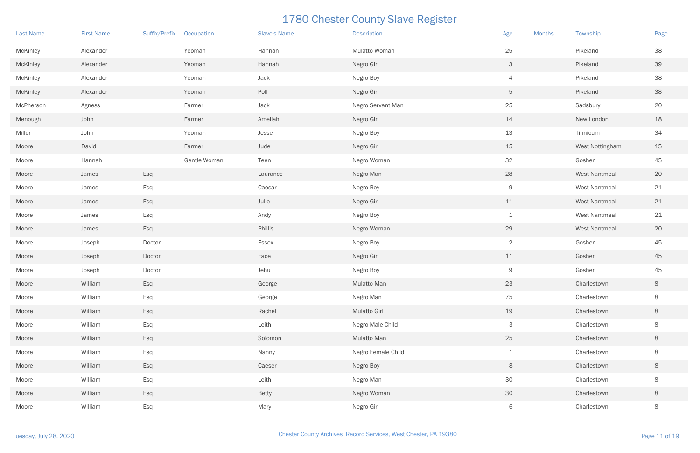| <b>Last Name</b> | <b>First Name</b> | Suffix/Prefix | Occupation   | <b>Slave's Name</b> | <b>Description</b> | Age            | <b>Months</b> | Township        | Page    |
|------------------|-------------------|---------------|--------------|---------------------|--------------------|----------------|---------------|-----------------|---------|
| McKinley         | Alexander         |               | Yeoman       | Hannah              | Mulatto Woman      | 25             |               | Pikeland        | 38      |
| <b>McKinley</b>  | Alexander         |               | Yeoman       | Hannah              | Negro Girl         | 3              |               | Pikeland        | 39      |
| McKinley         | Alexander         |               | Yeoman       | Jack                | Negro Boy          | $\overline{4}$ |               | Pikeland        | 38      |
| <b>McKinley</b>  | Alexander         |               | Yeoman       | Poll                | Negro Girl         | 5              |               | Pikeland        | 38      |
| McPherson        | Agness            |               | Farmer       | Jack                | Negro Servant Man  | 25             |               | Sadsbury        | 20      |
| Menough          | John              |               | Farmer       | Ameliah             | Negro Girl         | 14             |               | New London      | 18      |
| Miller           | John              |               | Yeoman       | Jesse               | Negro Boy          | 13             |               | Tinnicum        | 34      |
| Moore            | David             |               | Farmer       | Jude                | Negro Girl         | 15             |               | West Nottingham | 15      |
| Moore            | Hannah            |               | Gentle Woman | Teen                | Negro Woman        | 32             |               | Goshen          | 45      |
| Moore            | James             | Esq           |              | Laurance            | Negro Man          | 28             |               | West Nantmeal   | 20      |
| Moore            | James             | Esq           |              | Caesar              | Negro Boy          | $\overline{9}$ |               | West Nantmeal   | 21      |
| Moore            | James             | Esq           |              | Julie               | Negro Girl         | 11             |               | West Nantmeal   | $21\,$  |
| Moore            | James             | Esq           |              | Andy                | Negro Boy          | $\perp$        |               | West Nantmeal   | 21      |
| Moore            | James             | Esq           |              | Phillis             | Negro Woman        | 29             |               | West Nantmeal   | 20      |
| Moore            | Joseph            | Doctor        |              | Essex               | Negro Boy          | $\overline{2}$ |               | Goshen          | 45      |
| Moore            | Joseph            | Doctor        |              | Face                | Negro Girl         | 11             |               | Goshen          | 45      |
| Moore            | Joseph            | Doctor        |              | Jehu                | Negro Boy          | 9              |               | Goshen          | 45      |
| Moore            | William           | Esq           |              | George              | Mulatto Man        | 23             |               | Charlestown     | 8       |
| Moore            | William           | Esq           |              | George              | Negro Man          | 75             |               | Charlestown     | $\,8\,$ |
| Moore            | William           | Esq           |              | Rachel              | Mulatto Girl       | 19             |               | Charlestown     | $\,8\,$ |
| Moore            | William           | Esq           |              | Leith               | Negro Male Child   | 3              |               | Charlestown     | $\,8\,$ |
| Moore            | William           | Esq           |              | Solomon             | Mulatto Man        | 25             |               | Charlestown     | $\,8\,$ |
| Moore            | William           | Esq           |              | Nanny               | Negro Female Child | $\mathbf 1$    |               | Charlestown     | $\,8\,$ |
| Moore            | William           | Esq           |              | Caeser              | Negro Boy          | 8              |               | Charlestown     | $\,8\,$ |
| Moore            | William           | Esq           |              | Leith               | Negro Man          | $30\,$         |               | Charlestown     | $\,8\,$ |
| Moore            | William           | Esq           |              | Betty               | Negro Woman        | 30             |               | Charlestown     | $\,8\,$ |
| Moore            | William           | Esq           |              | Mary                | Negro Girl         | 6              |               | Charlestown     | 8       |

| <b>Months</b> | Township             | Page |
|---------------|----------------------|------|
|               | Pikeland             | 38   |
|               | Pikeland             | 39   |
|               | Pikeland             | 38   |
|               | Pikeland             | 38   |
|               | Sadsbury             | 20   |
|               | New London           | 18   |
|               | Tinnicum             | 34   |
|               | West Nottingham      | 15   |
|               | Goshen               | 45   |
|               | <b>West Nantmeal</b> | 20   |
|               | <b>West Nantmeal</b> | 21   |
|               | <b>West Nantmeal</b> | 21   |
|               | <b>West Nantmeal</b> | 21   |
|               | <b>West Nantmeal</b> | 20   |
|               | Goshen               | 45   |
|               | Goshen               | 45   |
|               | Goshen               | 45   |
|               | Charlestown          | 8    |
|               | Charlestown          | 8    |
|               | Charlestown          | 8    |
|               | Charlestown          | 8    |
|               | Charlestown          | 8    |
|               | Charlestown          | 8    |
|               | Charlestown          | 8    |
|               | Charlestown          | 8    |
|               | Charlestown          | 8    |
|               | Charlestown          | 8    |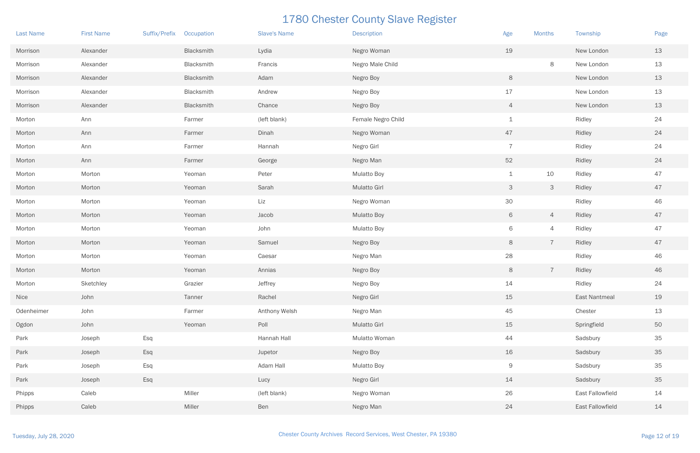| <b>Last Name</b> | <b>First Name</b> | Suffix/Prefix | Occupation | <b>Slave's Name</b> | <b>Description</b>  | Age            | <b>Months</b>  | Township         | Page |
|------------------|-------------------|---------------|------------|---------------------|---------------------|----------------|----------------|------------------|------|
| Morrison         | Alexander         |               | Blacksmith | Lydia               | Negro Woman         | 19             |                | New London       | 13   |
| Morrison         | Alexander         |               | Blacksmith | Francis             | Negro Male Child    |                | $\,8\,$        | New London       | 13   |
| Morrison         | Alexander         |               | Blacksmith | Adam                | Negro Boy           | 8              |                | New London       | 13   |
| Morrison         | Alexander         |               | Blacksmith | Andrew              | Negro Boy           | 17             |                | New London       | 13   |
| Morrison         | Alexander         |               | Blacksmith | Chance              | Negro Boy           | $\overline{4}$ |                | New London       | 13   |
| Morton           | Ann               |               | Farmer     | (left blank)        | Female Negro Child  | $\mathbf 1$    |                | Ridley           | 24   |
| Morton           | Ann               |               | Farmer     | Dinah               | Negro Woman         | 47             |                | Ridley           | 24   |
| Morton           | Ann               |               | Farmer     | Hannah              | Negro Girl          | $\overline{7}$ |                | Ridley           | 24   |
| Morton           | Ann               |               | Farmer     | George              | Negro Man           | 52             |                | Ridley           | 24   |
| Morton           | Morton            |               | Yeoman     | Peter               | <b>Mulatto Boy</b>  | $\mathbf 1$    | 10             | Ridley           | 47   |
| Morton           | Morton            |               | Yeoman     | Sarah               | <b>Mulatto Girl</b> | 3 <sup>1</sup> | 3              | Ridley           | 47   |
| Morton           | Morton            |               | Yeoman     | Liz                 | Negro Woman         | 30             |                | Ridley           | 46   |
| Morton           | Morton            |               | Yeoman     | Jacob               | <b>Mulatto Boy</b>  | 6              | $\overline{4}$ | Ridley           | 47   |
| Morton           | Morton            |               | Yeoman     | John                | <b>Mulatto Boy</b>  | 6              | 4              | Ridley           | 47   |
| Morton           | Morton            |               | Yeoman     | Samuel              | Negro Boy           | 8              | $\overline{7}$ | Ridley           | 47   |
| Morton           | Morton            |               | Yeoman     | Caesar              | Negro Man           | 28             |                | Ridley           | 46   |
| Morton           | Morton            |               | Yeoman     | Annias              | Negro Boy           | 8              | $\overline{7}$ | Ridley           | 46   |
| Morton           | Sketchley         |               | Grazier    | Jeffrey             | Negro Boy           | 14             |                | Ridley           | 24   |
| Nice             | John              |               | Tanner     | Rachel              | Negro Girl          | 15             |                | East Nantmeal    | 19   |
| Odenheimer       | John              |               | Farmer     | Anthony Welsh       | Negro Man           | 45             |                | Chester          | 13   |
| Ogdon            | John              |               | Yeoman     | Poll                | Mulatto Girl        | 15             |                | Springfield      | 50   |
| Park             | Joseph            | Esq           |            | Hannah Hall         | Mulatto Woman       | 44             |                | Sadsbury         | 35   |
| Park             | Joseph            | Esq           |            | Jupetor             | Negro Boy           | 16             |                | Sadsbury         | 35   |
| Park             | Joseph            | Esq           |            | Adam Hall           | <b>Mulatto Boy</b>  | 9              |                | Sadsbury         | 35   |
| Park             | Joseph            | Esq           |            | Lucy                | Negro Girl          | 14             |                | Sadsbury         | 35   |
| Phipps           | Caleb             |               | Miller     | (left blank)        | Negro Woman         | 26             |                | East Fallowfield | 14   |
| Phipps           | Caleb             |               | Miller     | Ben                 | Negro Man           | 24             |                | East Fallowfield | 14   |

| <b>Months</b>             | Township                | Page |
|---------------------------|-------------------------|------|
|                           | New London              | 13   |
| 8                         | New London              | 13   |
|                           | New London              | 13   |
|                           | New London              | 13   |
|                           | New London              | 13   |
|                           | Ridley                  | 24   |
|                           | Ridley                  | 24   |
|                           | Ridley                  | 24   |
|                           | Ridley                  | 24   |
| 10                        | Ridley                  | 47   |
| $\ensuremath{\mathsf{3}}$ | Ridley                  | 47   |
|                           | Ridley                  | 46   |
| $\overline{4}$            | Ridley                  | 47   |
| $\overline{4}$            | Ridley                  | 47   |
| $\overline{7}$            | Ridley                  | 47   |
|                           | Ridley                  | 46   |
| $\overline{\mathcal{I}}$  | Ridley                  | 46   |
|                           | Ridley                  | 24   |
|                           | <b>East Nantmeal</b>    | 19   |
|                           | Chester                 | 13   |
|                           | Springfield             | 50   |
|                           | Sadsbury                | 35   |
|                           | Sadsbury                | 35   |
|                           | Sadsbury                | 35   |
|                           | Sadsbury                | 35   |
|                           | <b>East Fallowfield</b> | 14   |
|                           | <b>East Fallowfield</b> | 14   |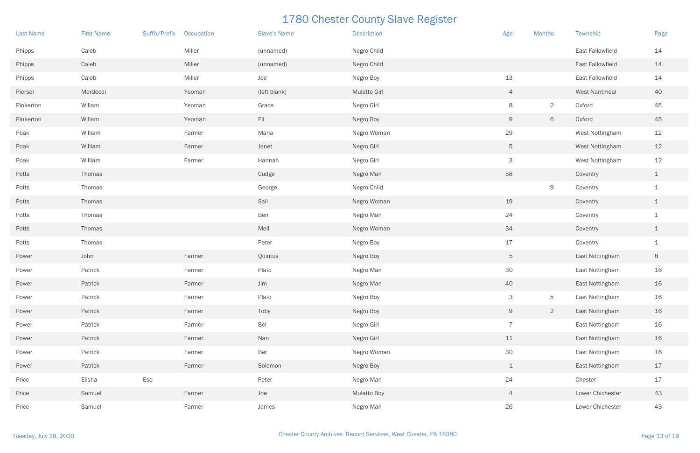| <b>Last Name</b> | <b>First Name</b> | Suffix/Prefix | Occupation | <b>Slave's Name</b> | <b>Description</b>  | Age             | <b>Months</b>  | Township             | Page           |
|------------------|-------------------|---------------|------------|---------------------|---------------------|-----------------|----------------|----------------------|----------------|
| Phipps           | Caleb             |               | Miller     | (unnamed)           | Negro Child         |                 |                | East Fallowfield     | 14             |
| Phipps           | Caleb             |               | Miller     | (unnamed)           | Negro Child         |                 |                | East Fallowfield     | 14             |
| Phipps           | Caleb             |               | Miller     | Joe                 | Negro Boy           | 13              |                | East Fallowfield     | 14             |
| Piersol          | Mordecai          |               | Yeoman     | (left blank)        | <b>Mulatto Girl</b> | $\overline{4}$  |                | <b>West Nantmeal</b> | 40             |
| Pinkerton        | Willam            |               | Yeoman     | Grace               | Negro Girl          | 8               | $\overline{2}$ | Oxford               | 45             |
| Pinkerton        | Willam            |               | Yeoman     | Eli                 | Negro Boy           | 9               | $\,$ 6 $\,$    | Oxford               | 45             |
| Poak             | William           |               | Farmer     | Maria               | Negro Woman         | 29              |                | West Nottingham      | 12             |
| Poak             | William           |               | Farmer     | Janet               | Negro Girl          | 5               |                | West Nottingham      | 12             |
| Poak             | William           |               | Farmer     | Hannah              | Negro Girl          | 3               |                | West Nottingham      | 12             |
| Potts            | Thomas            |               |            | Cudge               | Negro Man           | 58              |                | Coventry             | $\mathbf 1$    |
| Potts            | Thomas            |               |            | George              | Negro Child         |                 | $\Theta$       | Coventry             | $\mathbf 1$    |
| Potts            | Thomas            |               |            | Sall                | Negro Woman         | 19              |                | Coventry             | $\mathbf 1$    |
| Potts            | Thomas            |               |            | Ben                 | Negro Man           | 24              |                | Coventry             | $\mathbf 1$    |
| Potts            | Thomas            |               |            | Moll                | Negro Woman         | 34              |                | Coventry             | $\mathbf{1}$   |
| Potts            | Thomas            |               |            | Peter               | Negro Boy           | 17              |                | Coventry             | $\mathbf 1$    |
| Power            | John              |               | Farmer     | Quintus             | Negro Boy           | $5\overline{)}$ |                | East Nottingham      | $8\phantom{1}$ |
| Power            | Patrick           |               | Farmer     | Plato               | Negro Man           | 30              |                | East Nottingham      | 16             |
| Power            | Patrick           |               | Farmer     | Jim                 | Negro Man           | 40              |                | East Nottingham      | 16             |
| Power            | Patrick           |               | Farmer     | Plato               | Negro Boy           | 3               | $\overline{5}$ | East Nottingham      | 16             |
| Power            | Patrick           |               | Farmer     | Toby                | Negro Boy           | 9               | $\overline{2}$ | East Nottingham      | 16             |
| Power            | Patrick           |               | Farmer     | Bel                 | Negro Girl          | $\overline{7}$  |                | East Nottingham      | 16             |
| Power            | Patrick           |               | Farmer     | Nan                 | Negro Girl          | 11              |                | East Nottingham      | 16             |
| Power            | Patrick           |               | Farmer     | Bet                 | Negro Woman         | 30 <sup>°</sup> |                | East Nottingham      | 16             |
| Power            | Patrick           |               | Farmer     | Solomon             | Negro Boy           | $\perp$         |                | East Nottingham      | 17             |
| Price            | Elisha            | Esq           |            | Peter               | Negro Man           | 24              |                | Chester              | 17             |
| Price            | Samuel            |               | Farmer     | Joe                 | <b>Mulatto Boy</b>  | $\overline{4}$  |                | Lower Chichester     | 43             |
| Price            | Samuel            |               | Farmer     | James               | Negro Man           | 26              |                | Lower Chichester     | 43             |

| <b>Months</b> | Township                | Page        |
|---------------|-------------------------|-------------|
|               | East Fallowfield        | 14          |
|               | East Fallowfield        | 14          |
|               | <b>East Fallowfield</b> | 14          |
|               | <b>West Nantmeal</b>    | 40          |
| $\mathbf{2}$  | Oxford                  | 45          |
| 6             | Oxford                  | 45          |
|               | West Nottingham         | 12          |
|               | <b>West Nottingham</b>  | 12          |
|               | <b>West Nottingham</b>  | 12          |
|               | Coventry                | $\mathbf 1$ |
| 9             | Coventry                | $\mathbf 1$ |
|               | Coventry                | $\mathbf 1$ |
|               | Coventry                | $\mathbf 1$ |
|               | Coventry                | $\mathbf 1$ |
|               | Coventry                | $\mathbf 1$ |
|               | East Nottingham         | 8           |
|               | East Nottingham         | 16          |
|               | East Nottingham         | 16          |
| 5             | East Nottingham         | 16          |
| $\mathbf{2}$  | East Nottingham         | 16          |
|               | East Nottingham         | 16          |
|               | East Nottingham         | 16          |
|               | East Nottingham         | 16          |
|               | East Nottingham         | 17          |
|               | Chester                 | 17          |
|               | Lower Chichester        | 43          |
|               | Lower Chichester        | 43          |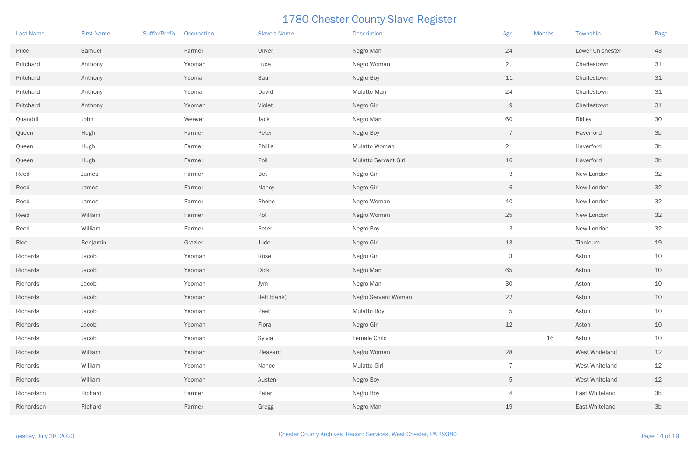| <b>Last Name</b> | <b>First Name</b> | <b>Suffix/Prefix</b> | Occupation | <b>Slave's Name</b> | <b>Description</b>          | Age            | <b>Months</b> | Township         | Page           |
|------------------|-------------------|----------------------|------------|---------------------|-----------------------------|----------------|---------------|------------------|----------------|
| Price            | Samuel            |                      | Farmer     | Oliver              | Negro Man                   | 24             |               | Lower Chichester | 43             |
| Pritchard        | Anthony           |                      | Yeoman     | Luce                | Negro Woman                 | 21             |               | Charlestown      | 31             |
| Pritchard        | Anthony           |                      | Yeoman     | Saul                | Negro Boy                   | 11             |               | Charlestown      | 31             |
| Pritchard        | Anthony           |                      | Yeoman     | David               | Mulatto Man                 | 24             |               | Charlestown      | 31             |
| Pritchard        | Anthony           |                      | Yeoman     | Violet              | Negro Girl                  | 9              |               | Charlestown      | 31             |
| Quandril         | John              |                      | Weaver     | Jack                | Negro Man                   | 60             |               | Ridley           | 30             |
| Queen            | Hugh              |                      | Farmer     | Peter               | Negro Boy                   | $\overline{7}$ |               | Haverford        | 3 <sub>b</sub> |
| Queen            | Hugh              |                      | Farmer     | Phillis             | Mulatto Woman               | 21             |               | Haverford        | 3 <sub>b</sub> |
| Queen            | Hugh              |                      | Farmer     | Poll                | <b>Mulatto Servant Girl</b> | 16             |               | Haverford        | 3 <sub>b</sub> |
| Reed             | James             |                      | Farmer     | Bet                 | Negro Girl                  | 3              |               | New London       | 32             |
| Reed             | James             |                      | Farmer     | Nancy               | Negro Girl                  | 6              |               | New London       | 32             |
| Reed             | James             |                      | Farmer     | Phebe               | Negro Woman                 | 40             |               | New London       | 32             |
| Reed             | William           |                      | Farmer     | Pol                 | Negro Woman                 | 25             |               | New London       | 32             |
| Reed             | William           |                      | Farmer     | Peter               | Negro Boy                   | 3              |               | New London       | 32             |
| Rice             | Benjamin          |                      | Grazier    | Jude                | Negro Girl                  | 13             |               | Tinnicum         | 19             |
| Richards         | Jacob             |                      | Yeoman     | Rose                | Negro Girl                  | 3              |               | Aston            | 10             |
| Richards         | Jacob             |                      | Yeoman     | <b>Dick</b>         | Negro Man                   | 65             |               | Aston            | 10             |
| Richards         | Jacob             |                      | Yeoman     | Jym                 | Negro Man                   | 30             |               | Aston            | 10             |
| Richards         | Jacob             |                      | Yeoman     | (left blank)        | Negro Servent Woman         | 22             |               | Aston            | 10             |
| Richards         | Jacob             |                      | Yeoman     | Peet                | <b>Mulatto Boy</b>          | 5              |               | Aston            | 10             |
| Richards         | Jacob             |                      | Yeoman     | Flora               | Negro Girl                  | 12             |               | Aston            | 10             |
| Richards         | Jacob             |                      | Yeoman     | Sylvia              | Female Child                |                | 16            | Aston            | 10             |
| Richards         | William           |                      | Yeoman     | Pleasant            | Negro Woman                 | 28             |               | West Whiteland   | 12             |
| Richards         | William           |                      | Yeoman     | Nance               | Mulatto Girl                | $\overline{7}$ |               | West Whiteland   | 12             |
| Richards         | William           |                      | Yeoman     | Austen              | Negro Boy                   | 5 <sup>5</sup> |               | West Whiteland   | $12$           |
| Richardson       | Richard           |                      | Farmer     | Peter               | Negro Boy                   | $\overline{4}$ |               | East Whiteland   | 3 <sub>b</sub> |
| Richardson       | Richard           |                      | Farmer     | Gregg               | Negro Man                   | 19             |               | East Whiteland   | 3 <sub>b</sub> |

| <b>Months</b> |    | Township         | Page           |
|---------------|----|------------------|----------------|
|               |    | Lower Chichester | 43             |
|               |    | Charlestown      | 31             |
|               |    | Charlestown      | 31             |
|               |    | Charlestown      | 31             |
|               |    | Charlestown      | 31             |
|               |    | Ridley           | 30             |
|               |    | Haverford        | 3b             |
|               |    | Haverford        | 3b             |
|               |    | Haverford        | 3b             |
|               |    | New London       | 32             |
|               |    | New London       | 32             |
|               |    | New London       | 32             |
|               |    | New London       | 32             |
|               |    | New London       | 32             |
|               |    | Tinnicum         | 19             |
|               |    | Aston            | 10             |
|               |    | Aston            | 10             |
|               |    | Aston            | 10             |
|               |    | Aston            | 10             |
|               |    | Aston            | 10             |
|               |    | Aston            | 10             |
|               | 16 | Aston            | 10             |
|               |    | West Whiteland   | 12             |
|               |    | West Whiteland   | 12             |
|               |    | West Whiteland   | 12             |
|               |    | East Whiteland   | 3 <sub>b</sub> |
|               |    | East Whiteland   | 3 <sub>b</sub> |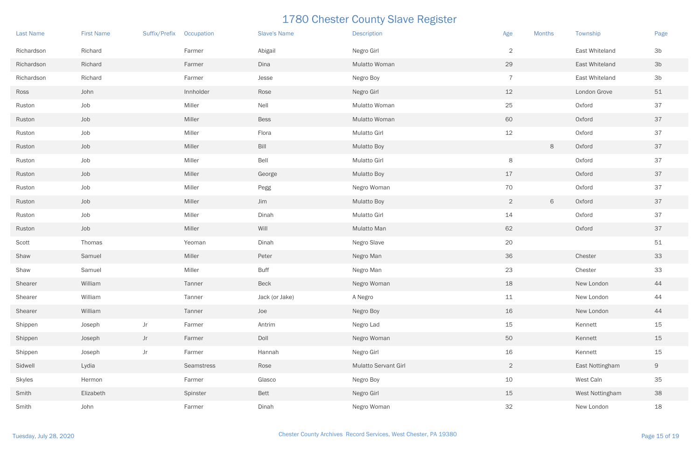| <b>Last Name</b> | <b>First Name</b> | Suffix/Prefix | Occupation | <b>Slave's Name</b> | <b>Description</b>   | Age            | <b>Months</b> | Township        | Page           |
|------------------|-------------------|---------------|------------|---------------------|----------------------|----------------|---------------|-----------------|----------------|
| Richardson       | Richard           |               | Farmer     | Abigail             | Negro Girl           | $\overline{2}$ |               | East Whiteland  | 3 <sub>b</sub> |
| Richardson       | Richard           |               | Farmer     | Dina                | Mulatto Woman        | 29             |               | East Whiteland  | 3 <sub>b</sub> |
| Richardson       | Richard           |               | Farmer     | Jesse               | Negro Boy            | $\overline{7}$ |               | East Whiteland  | 3 <sub>b</sub> |
| Ross             | John              |               | Innholder  | Rose                | Negro Girl           | 12             |               | London Grove    | 51             |
| Ruston           | Job               |               | Miller     | Nell                | Mulatto Woman        | 25             |               | Oxford          | 37             |
| Ruston           | Job               |               | Miller     | <b>Bess</b>         | Mulatto Woman        | 60             |               | Oxford          | 37             |
| Ruston           | Job               |               | Miller     | Flora               | <b>Mulatto Girl</b>  | 12             |               | Oxford          | 37             |
| Ruston           | Job               |               | Miller     | $\mathsf{Bill}$     | <b>Mulatto Boy</b>   |                | $\,8\,$       | Oxford          | 37             |
| Ruston           | Job               |               | Miller     | Bell                | <b>Mulatto Girl</b>  | 8              |               | Oxford          | 37             |
| Ruston           | Job               |               | Miller     | George              | <b>Mulatto Boy</b>   | 17             |               | Oxford          | 37             |
| Ruston           | Job               |               | Miller     | Pegg                | Negro Woman          | 70             |               | Oxford          | 37             |
| Ruston           | Job               |               | Miller     | Jim                 | <b>Mulatto Boy</b>   | $\overline{2}$ | $\,$ 6 $\,$   | Oxford          | 37             |
| Ruston           | Job               |               | Miller     | Dinah               | <b>Mulatto Girl</b>  | 14             |               | Oxford          | 37             |
| Ruston           | Job               |               | Miller     | Will                | Mulatto Man          | 62             |               | Oxford          | 37             |
| Scott            | Thomas            |               | Yeoman     | Dinah               | Negro Slave          | 20             |               |                 | 51             |
| Shaw             | Samuel            |               | Miller     | Peter               | Negro Man            | 36             |               | Chester         | 33             |
| Shaw             | Samuel            |               | Miller     | <b>Buff</b>         | Negro Man            | 23             |               | Chester         | 33             |
| Shearer          | William           |               | Tanner     | <b>Beck</b>         | Negro Woman          | 18             |               | New London      | 44             |
| Shearer          | William           |               | Tanner     | Jack (or Jake)      | A Negro              | 11             |               | New London      | 44             |
| Shearer          | William           |               | Tanner     | Joe                 | Negro Boy            | 16             |               | New London      | 44             |
| Shippen          | Joseph            | Jr            | Farmer     | Antrim              | Negro Lad            | 15             |               | Kennett         | 15             |
| Shippen          | Joseph            | Jr            | Farmer     | Doll                | Negro Woman          | 50             |               | Kennett         | 15             |
| Shippen          | Joseph            | Jr            | Farmer     | Hannah              | Negro Girl           | 16             |               | Kennett         | 15             |
| Sidwell          | Lydia             |               | Seamstress | Rose                | Mulatto Servant Girl | $\overline{2}$ |               | East Nottingham | $\Theta$       |
| Skyles           | Hermon            |               | Farmer     | Glasco              | Negro Boy            | 10             |               | West Caln       | 35             |
| Smith            | Elizabeth         |               | Spinster   | Bett                | Negro Girl           | 15             |               | West Nottingham | 38             |
| Smith            | John              |               | Farmer     | Dinah               | Negro Woman          | 32             |               | New London      | 18             |

| <b>Months</b> | Township         | Page           |
|---------------|------------------|----------------|
|               | East Whiteland   | 3b             |
|               | East Whiteland   | 3 <sub>b</sub> |
|               | East Whiteland   | 3 <sub>b</sub> |
|               | London Grove     | 51             |
|               | Oxford           | 37             |
|               | Oxford           | 37             |
|               | Oxford           | 37             |
| 8             | Oxford           | 37             |
|               | Oxford           | 37             |
|               | Oxford           | 37             |
|               | Oxford           | 37             |
| 6             | Oxford           | 37             |
|               | Oxford           | 37             |
|               | Oxford           | 37             |
|               |                  | 51             |
|               | Chester          | 33             |
|               | Chester          | 33             |
|               | New London       | 44             |
|               | New London       | 44             |
|               | New London       | 44             |
|               | Kennett          | 15             |
|               | Kennett          | 15             |
|               | Kennett          | 15             |
|               | East Nottingham  | 9              |
|               | <b>West Caln</b> | 35             |
|               | West Nottingham  | 38             |
|               | New London       | 18             |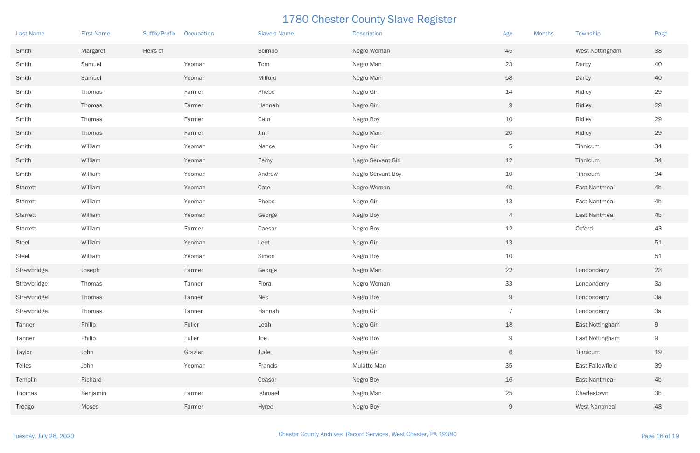| <b>Last Name</b> | <b>First Name</b> | Suffix/Prefix Occupation |         | <b>Slave's Name</b> | <b>Description</b>       | Age<br><b>Months</b> | Township         | Page           |
|------------------|-------------------|--------------------------|---------|---------------------|--------------------------|----------------------|------------------|----------------|
| Smith            | Margaret          | Heirs of                 |         | Scimbo              | Negro Woman              | 45                   | West Nottingham  | 38             |
| Smith            | Samuel            |                          | Yeoman  | Tom                 | Negro Man                | 23                   | Darby            | 40             |
| Smith            | Samuel            |                          | Yeoman  | Milford             | Negro Man                | 58                   | Darby            | 40             |
| Smith            | Thomas            |                          | Farmer  | Phebe               | Negro Girl               | 14                   | Ridley           | 29             |
| Smith            | Thomas            |                          | Farmer  | Hannah              | Negro Girl               | $\overline{9}$       | Ridley           | 29             |
| Smith            | Thomas            |                          | Farmer  | Cato                | Negro Boy                | 10                   | Ridley           | 29             |
| Smith            | Thomas            |                          | Farmer  | Jim                 | Negro Man                | 20                   | Ridley           | 29             |
| Smith            | William           |                          | Yeoman  | Nance               | Negro Girl               | 5                    | Tinnicum         | 34             |
| Smith            | William           |                          | Yeoman  | Eamy                | Negro Servant Girl       | 12                   | Tinnicum         | 34             |
| Smith            | William           |                          | Yeoman  | Andrew              | <b>Negro Servant Boy</b> | 10                   | Tinnicum         | 34             |
| Starrett         | William           |                          | Yeoman  | Cate                | Negro Woman              | 40                   | East Nantmeal    | 4b             |
| Starrett         | William           |                          | Yeoman  | Phebe               | Negro Girl               | 13                   | East Nantmeal    | 4 <sub>b</sub> |
| Starrett         | William           |                          | Yeoman  | George              | Negro Boy                | $\overline{4}$       | East Nantmeal    | 4b             |
| Starrett         | William           |                          | Farmer  | Caesar              | Negro Boy                | 12                   | Oxford           | 43             |
| Steel            | William           |                          | Yeoman  | Leet                | Negro Girl               | 13                   |                  | $51$           |
| Steel            | William           |                          | Yeoman  | Simon               | Negro Boy                | 10                   |                  | 51             |
| Strawbridge      | Joseph            |                          | Farmer  | George              | Negro Man                | 22                   | Londonderry      | 23             |
| Strawbridge      | Thomas            |                          | Tanner  | Flora               | Negro Woman              | 33                   | Londonderry      | 3a             |
| Strawbridge      | Thomas            |                          | Tanner  | Ned                 | Negro Boy                | 9                    | Londonderry      | 3a             |
| Strawbridge      | Thomas            |                          | Tanner  | Hannah              | Negro Girl               | $\overline{7}$       | Londonderry      | 3a             |
| Tanner           | Philip            |                          | Fuller  | Leah                | Negro Girl               | 18                   | East Nottingham  | $\Theta$       |
| Tanner           | Philip            |                          | Fuller  | Joe                 | Negro Boy                | $\overline{9}$       | East Nottingham  | 9              |
| Taylor           | John              |                          | Grazier | Jude                | Negro Girl               | 6                    | Tinnicum         | 19             |
| Telles           | John              |                          | Yeoman  | Francis             | Mulatto Man              | 35                   | East Fallowfield | 39             |
| Templin          | Richard           |                          |         | Ceasor              | Negro Boy                | 16                   | East Nantmeal    | 4 <sub>b</sub> |
| Thomas           | Benjamin          |                          | Farmer  | Ishmael             | Negro Man                | 25                   | Charlestown      | 3 <sub>b</sub> |
| Treago           | Moses             |                          | Farmer  | Hyree               | Negro Boy                | 9                    | West Nantmeal    | 48             |

| <b>Months</b> | Township                | Page           |
|---------------|-------------------------|----------------|
|               | West Nottingham         | 38             |
|               | Darby                   | 40             |
|               | Darby                   | 40             |
|               | Ridley                  | 29             |
|               | Ridley                  | 29             |
|               | Ridley                  | 29             |
|               | Ridley                  | 29             |
|               | Tinnicum                | 34             |
|               | Tinnicum                | 34             |
|               | Tinnicum                | 34             |
|               | <b>East Nantmeal</b>    | 4b             |
|               | <b>East Nantmeal</b>    | 4b             |
|               | <b>East Nantmeal</b>    | 4b             |
|               | Oxford                  | 43             |
|               |                         | 51             |
|               |                         | 51             |
|               | Londonderry             | 23             |
|               | Londonderry             | 3a             |
|               | Londonderry             | 3a             |
|               | Londonderry             | 3a             |
|               | East Nottingham         | 9              |
|               | East Nottingham         | 9              |
|               | Tinnicum                | 19             |
|               | <b>East Fallowfield</b> | 39             |
|               | <b>East Nantmeal</b>    | 4b             |
|               | Charlestown             | 3 <sub>b</sub> |
|               | <b>West Nantmeal</b>    | 48             |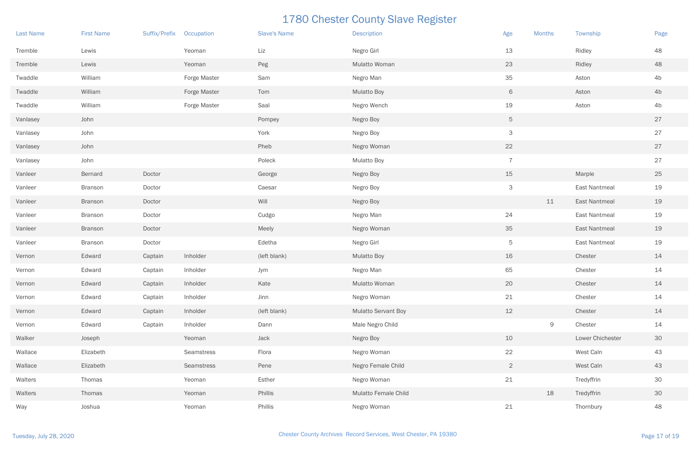| <b>Last Name</b> | <b>First Name</b> | Suffix/Prefix | Occupation   | <b>Slave's Name</b> | <b>Description</b>   | Age             | <b>Months</b> | Township         | Page           |
|------------------|-------------------|---------------|--------------|---------------------|----------------------|-----------------|---------------|------------------|----------------|
| Tremble          | Lewis             |               | Yeoman       | Liz                 | Negro Girl           | 13              |               | Ridley           | 48             |
| Tremble          | Lewis             |               | Yeoman       | Peg                 | Mulatto Woman        | 23              |               | Ridley           | 48             |
| Twaddle          | William           |               | Forge Master | Sam                 | Negro Man            | 35              |               | Aston            | 4 <sub>b</sub> |
| Twaddle          | William           |               | Forge Master | Tom                 | <b>Mulatto Boy</b>   | 6               |               | Aston            | 4 <sub>b</sub> |
| Twaddle          | William           |               | Forge Master | Saal                | Negro Wench          | 19              |               | Aston            | 4b             |
| Vanlasey         | John              |               |              | Pompey              | Negro Boy            | $5\overline{)}$ |               |                  | 27             |
| Vanlasey         | John              |               |              | York                | Negro Boy            | $\mathsf{3}$    |               |                  | 27             |
| Vanlasey         | John              |               |              | Pheb                | Negro Woman          | 22              |               |                  | 27             |
| Vanlasey         | John              |               |              | Poleck              | <b>Mulatto Boy</b>   | $\overline{7}$  |               |                  | 27             |
| Vanleer          | Bernard           | Doctor        |              | George              | Negro Boy            | 15              |               | Marple           | 25             |
| Vanleer          | <b>Branson</b>    | Doctor        |              | Caesar              | Negro Boy            | $\mathsf{3}$    |               | East Nantmeal    | 19             |
| Vanleer          | <b>Branson</b>    | Doctor        |              | Will                | Negro Boy            |                 | 11            | East Nantmeal    | 19             |
| Vanleer          | <b>Branson</b>    | Doctor        |              | Cudgo               | Negro Man            | 24              |               | East Nantmeal    | 19             |
| Vanleer          | <b>Branson</b>    | Doctor        |              | Meely               | Negro Woman          | 35              |               | East Nantmeal    | 19             |
| Vanleer          | <b>Branson</b>    | Doctor        |              | Edetha              | Negro Girl           | 5               |               | East Nantmeal    | 19             |
| Vernon           | Edward            | Captain       | Inholder     | (left blank)        | <b>Mulatto Boy</b>   | 16              |               | Chester          | 14             |
| Vernon           | Edward            | Captain       | Inholder     | Jym                 | Negro Man            | 65              |               | Chester          | 14             |
| Vernon           | Edward            | Captain       | Inholder     | Kate                | Mulatto Woman        | 20              |               | Chester          | 14             |
| Vernon           | Edward            | Captain       | Inholder     | Jinn                | Negro Woman          | 21              |               | Chester          | 14             |
| Vernon           | Edward            | Captain       | Inholder     | (left blank)        | Mulatto Servant Boy  | 12              |               | Chester          | 14             |
| Vernon           | Edward            | Captain       | Inholder     | Dann                | Male Negro Child     |                 | $\mathsf{9}$  | Chester          | 14             |
| Walker           | Joseph            |               | Yeoman       | Jack                | Negro Boy            | 10              |               | Lower Chichester | 30             |
| Wallace          | Elizabeth         |               | Seamstress   | Flora               | Negro Woman          | 22              |               | West Caln        | 43             |
| Wallace          | Elizabeth         |               | Seamstress   | Pene                | Negro Female Child   | $\overline{2}$  |               | West Caln        | 43             |
| Walters          | Thomas            |               | Yeoman       | Esther              | Negro Woman          | 21              |               | Tredyffrin       | 30             |
| Walters          | Thomas            |               | Yeoman       | Phillis             | Mulatto Female Child |                 | 18            | Tredyffrin       | 30             |
| Way              | Joshua            |               | Yeoman       | Phillis             | Negro Woman          | 21              |               | Thornbury        | 48             |

| <b>Months</b> | Township             | Page |
|---------------|----------------------|------|
|               | Ridley               | 48   |
|               | Ridley               | 48   |
|               | Aston                | 4b   |
|               | Aston                | 4b   |
|               | Aston                | 4b   |
|               |                      | 27   |
|               |                      | 27   |
|               |                      | 27   |
|               |                      | 27   |
|               | Marple               | 25   |
|               | <b>East Nantmeal</b> | 19   |
| $11\,$        | <b>East Nantmeal</b> | 19   |
|               | <b>East Nantmeal</b> | 19   |
|               | <b>East Nantmeal</b> | 19   |
|               | <b>East Nantmeal</b> | 19   |
|               | Chester              | 14   |
|               | Chester              | 14   |
|               | Chester              | 14   |
|               | Chester              | 14   |
|               | Chester              | 14   |
| $\Theta$      | Chester              | 14   |
|               | Lower Chichester     | 30   |
|               | West Caln            | 43   |
|               | West Caln            | 43   |
|               | Tredyffrin           | 30   |
| 18            | Tredyffrin           | 30   |
|               | Thornbury            | 48   |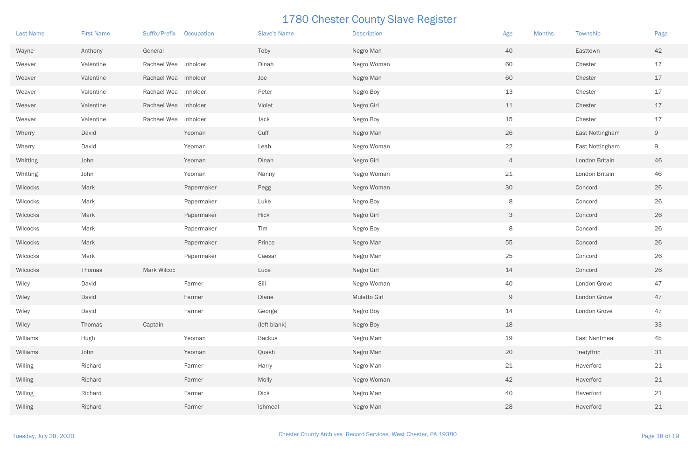| <b>Last Name</b> | <b>First Name</b> | Suffix/Prefix Occupation |            | <b>Slave's Name</b> | <b>Description</b>  | Age<br><b>Months</b> | Township        | Page           |
|------------------|-------------------|--------------------------|------------|---------------------|---------------------|----------------------|-----------------|----------------|
| Wayne            | Anthony           | General                  |            | Toby                | Negro Man           | 40                   | Easttown        | 42             |
| Weaver           | Valentine         | Rachael Wea Inholder     |            | Dinah               | Negro Woman         | 60                   | Chester         | 17             |
| Weaver           | Valentine         | Rachael Wea Inholder     |            | Joe                 | Negro Man           | 60                   | Chester         | 17             |
| Weaver           | Valentine         | Rachael Wea Inholder     |            | Peter               | Negro Boy           | 13                   | Chester         | 17             |
| Weaver           | Valentine         | Rachael Wea Inholder     |            | Violet              | Negro Girl          | 11                   | Chester         | 17             |
| Weaver           | Valentine         | Rachael Wea Inholder     |            | Jack                | Negro Boy           | 15                   | Chester         | 17             |
| Wherry           | David             |                          | Yeoman     | Cuff                | Negro Man           | 26                   | East Nottingham | $\Theta$       |
| Wherry           | David             |                          | Yeoman     | Leah                | Negro Woman         | 22                   | East Nottingham | $\overline{9}$ |
| Whitting         | John              |                          | Yeoman     | Dinah               | Negro Girl          | $\overline{4}$       | London Britain  | 46             |
| Whitting         | John              |                          | Yeoman     | Nanny               | Negro Woman         | 21                   | London Britain  | 46             |
| Wilcocks         | Mark              |                          | Papermaker | Pegg                | Negro Woman         | 30                   | Concord         | 26             |
| Wilcocks         | Mark              |                          | Papermaker | Luke                | Negro Boy           | 8                    | Concord         | 26             |
| Wilcocks         | Mark              |                          | Papermaker | Hick                | Negro Girl          | $\mathsf{3}$         | Concord         | 26             |
| Wilcocks         | Mark              |                          | Papermaker | Tim                 | Negro Boy           | 8                    | Concord         | 26             |
| Wilcocks         | Mark              |                          | Papermaker | Prince              | Negro Man           | 55                   | Concord         | 26             |
| Wilcocks         | Mark              |                          | Papermaker | Caesar              | Negro Man           | 25                   | Concord         | 26             |
| Wilcocks         | Thomas            | Mark Wilcoc              |            | Luce                | Negro Girl          | 14                   | Concord         | 26             |
| Wiley            | David             |                          | Farmer     | Sill                | Negro Woman         | 40                   | London Grove    | 47             |
| Wiley            | David             |                          | Farmer     | Diane               | <b>Mulatto Girl</b> | 9                    | London Grove    | 47             |
| Wiley            | David             |                          | Farmer     | George              | Negro Boy           | 14                   | London Grove    | 47             |
| Wiley            | Thomas            | Captain                  |            | (left blank)        | Negro Boy           | 18                   |                 | 33             |
| Williams         | Hugh              |                          | Yeoman     | <b>Backus</b>       | Negro Man           | 19                   | East Nantmeal   | 4b             |
| Williams         | John              |                          | Yeoman     | Quash               | Negro Man           | 20                   | Tredyffrin      | $31$           |
| Willing          | Richard           |                          | Farmer     | Harry               | Negro Man           | 21                   | Haverford       | 21             |
| Willing          | Richard           |                          | Farmer     | Molly               | Negro Woman         | 42                   | Haverford       | 21             |
| Willing          | Richard           |                          | Farmer     | <b>Dick</b>         | Negro Man           | 40                   | Haverford       | 21             |
| Willing          | Richard           |                          | Farmer     | Ishmeal             | Negro Man           | 28                   | Haverford       | 21             |

| <b>Months</b> | Township             | Page |
|---------------|----------------------|------|
|               | Easttown             | 42   |
|               | Chester              | 17   |
|               | Chester              | 17   |
|               | Chester              | 17   |
|               | Chester              | 17   |
|               | Chester              | 17   |
|               | East Nottingham      | 9    |
|               | East Nottingham      | 9    |
|               | London Britain       | 46   |
|               | London Britain       | 46   |
|               | Concord              | 26   |
|               | Concord              | 26   |
|               | Concord              | 26   |
|               | Concord              | 26   |
|               | Concord              | 26   |
|               | Concord              | 26   |
|               | Concord              | 26   |
|               | London Grove         | 47   |
|               | London Grove         | 47   |
|               | London Grove         | 47   |
|               |                      | 33   |
|               | <b>East Nantmeal</b> | 4b   |
|               | Tredyffrin           | 31   |
|               | Haverford            | 21   |
|               | Haverford            | 21   |
|               | Haverford            | 21   |
|               | Haverford            | 21   |